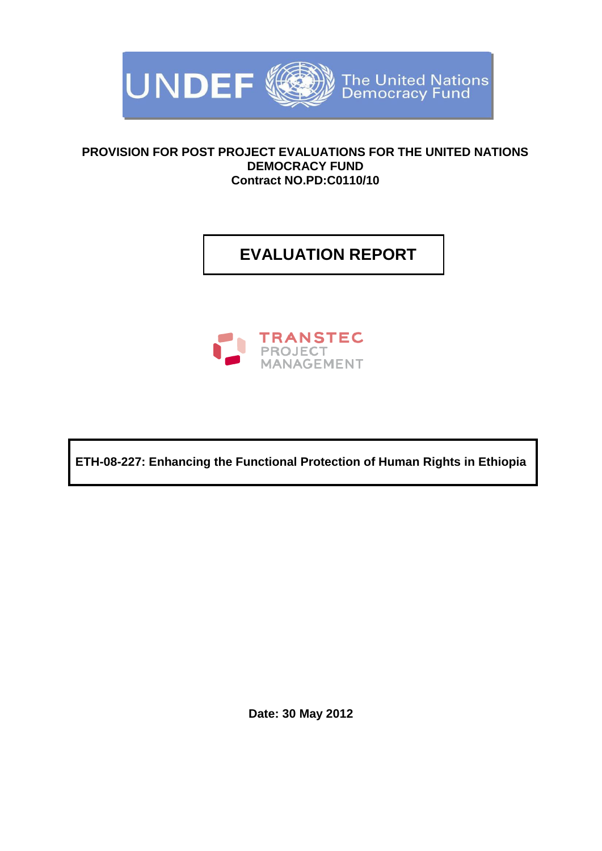

## **PROVISION FOR POST PROJECT EVALUATIONS FOR THE UNITED NATIONS DEMOCRACY FUND Contract NO.PD:C0110/10**

# **EVALUATION REPORT**



**ETH-08-227: Enhancing the Functional Protection of Human Rights in Ethiopia**

**Date: 30 May 2012**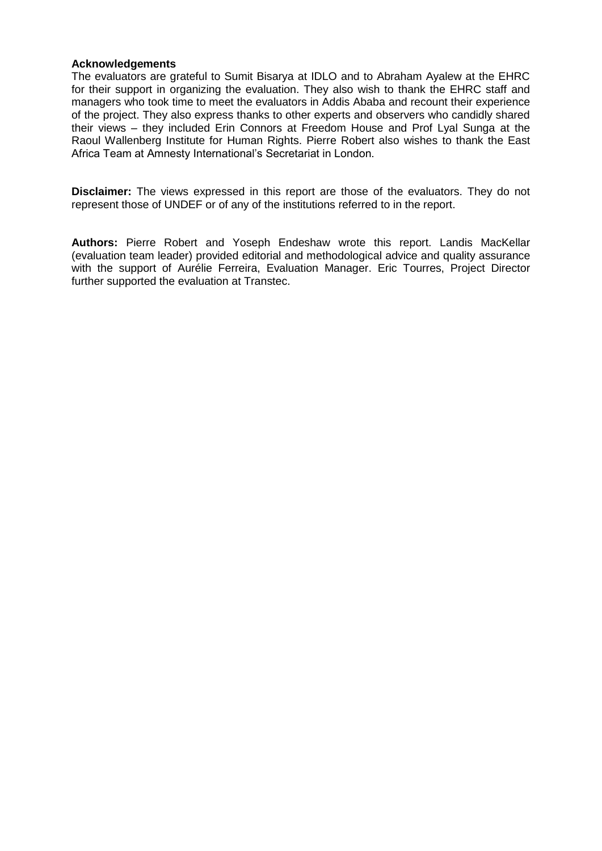#### **Acknowledgements**

The evaluators are grateful to Sumit Bisarya at IDLO and to Abraham Ayalew at the EHRC for their support in organizing the evaluation. They also wish to thank the EHRC staff and managers who took time to meet the evaluators in Addis Ababa and recount their experience of the project. They also express thanks to other experts and observers who candidly shared their views – they included Erin Connors at Freedom House and Prof Lyal Sunga at the Raoul Wallenberg Institute for Human Rights. Pierre Robert also wishes to thank the East Africa Team at Amnesty International's Secretariat in London.

**Disclaimer:** The views expressed in this report are those of the evaluators. They do not represent those of UNDEF or of any of the institutions referred to in the report.

**Authors:** Pierre Robert and Yoseph Endeshaw wrote this report. Landis MacKellar (evaluation team leader) provided editorial and methodological advice and quality assurance with the support of Aurélie Ferreira, Evaluation Manager. Eric Tourres, Project Director further supported the evaluation at Transtec.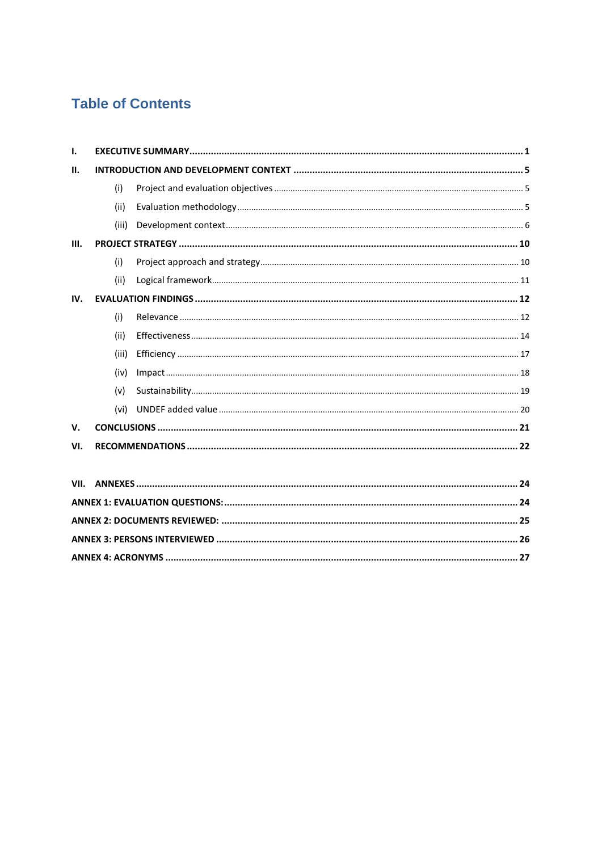# **Table of Contents**

| Ι.   |       |  |  |
|------|-------|--|--|
| П.   |       |  |  |
|      | (i)   |  |  |
|      | (ii)  |  |  |
|      | (iii) |  |  |
| III. |       |  |  |
|      | (i)   |  |  |
|      | (ii)  |  |  |
| IV.  |       |  |  |
|      | (i)   |  |  |
|      | (ii)  |  |  |
|      | (iii) |  |  |
|      | (iv)  |  |  |
|      | (v)   |  |  |
|      | (vi)  |  |  |
| V.   |       |  |  |
| VI.  |       |  |  |
|      |       |  |  |
| VII. |       |  |  |
|      |       |  |  |
|      |       |  |  |
|      |       |  |  |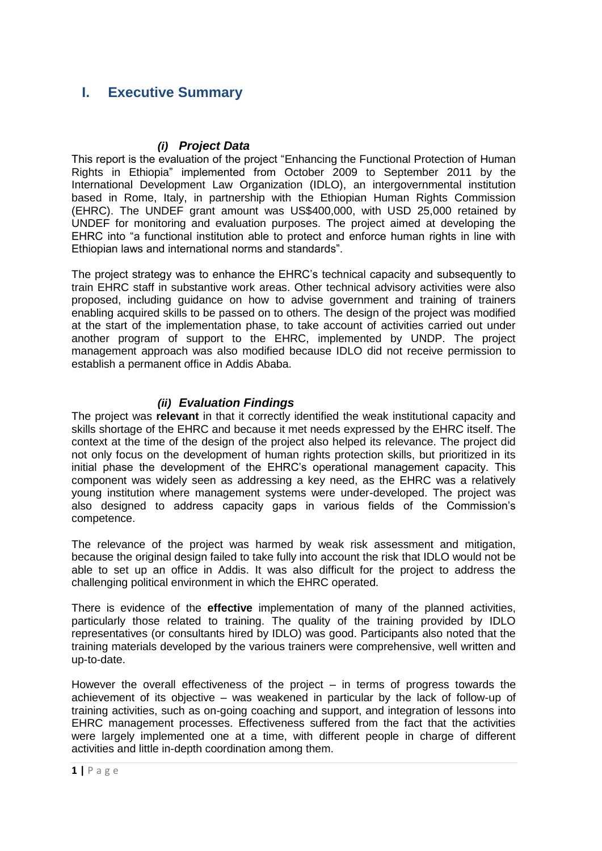## <span id="page-4-0"></span>**I. Executive Summary**

## *(i) Project Data*

This report is the evaluation of the project "Enhancing the Functional Protection of Human Rights in Ethiopia" implemented from October 2009 to September 2011 by the International Development Law Organization (IDLO), an intergovernmental institution based in Rome, Italy, in partnership with the Ethiopian Human Rights Commission (EHRC). The UNDEF grant amount was US\$400,000, with USD 25,000 retained by UNDEF for monitoring and evaluation purposes. The project aimed at developing the EHRC into "a functional institution able to protect and enforce human rights in line with Ethiopian laws and international norms and standards".

The project strategy was to enhance the EHRC's technical capacity and subsequently to train EHRC staff in substantive work areas. Other technical advisory activities were also proposed, including guidance on how to advise government and training of trainers enabling acquired skills to be passed on to others. The design of the project was modified at the start of the implementation phase, to take account of activities carried out under another program of support to the EHRC, implemented by UNDP. The project management approach was also modified because IDLO did not receive permission to establish a permanent office in Addis Ababa.

## *(ii) Evaluation Findings*

The project was **relevant** in that it correctly identified the weak institutional capacity and skills shortage of the EHRC and because it met needs expressed by the EHRC itself. The context at the time of the design of the project also helped its relevance. The project did not only focus on the development of human rights protection skills, but prioritized in its initial phase the development of the EHRC's operational management capacity. This component was widely seen as addressing a key need, as the EHRC was a relatively young institution where management systems were under-developed. The project was also designed to address capacity gaps in various fields of the Commission's competence.

The relevance of the project was harmed by weak risk assessment and mitigation, because the original design failed to take fully into account the risk that IDLO would not be able to set up an office in Addis. It was also difficult for the project to address the challenging political environment in which the EHRC operated.

There is evidence of the **effective** implementation of many of the planned activities, particularly those related to training. The quality of the training provided by IDLO representatives (or consultants hired by IDLO) was good. Participants also noted that the training materials developed by the various trainers were comprehensive, well written and up-to-date.

However the overall effectiveness of the project – in terms of progress towards the achievement of its objective – was weakened in particular by the lack of follow-up of training activities, such as on-going coaching and support, and integration of lessons into EHRC management processes. Effectiveness suffered from the fact that the activities were largely implemented one at a time, with different people in charge of different activities and little in-depth coordination among them.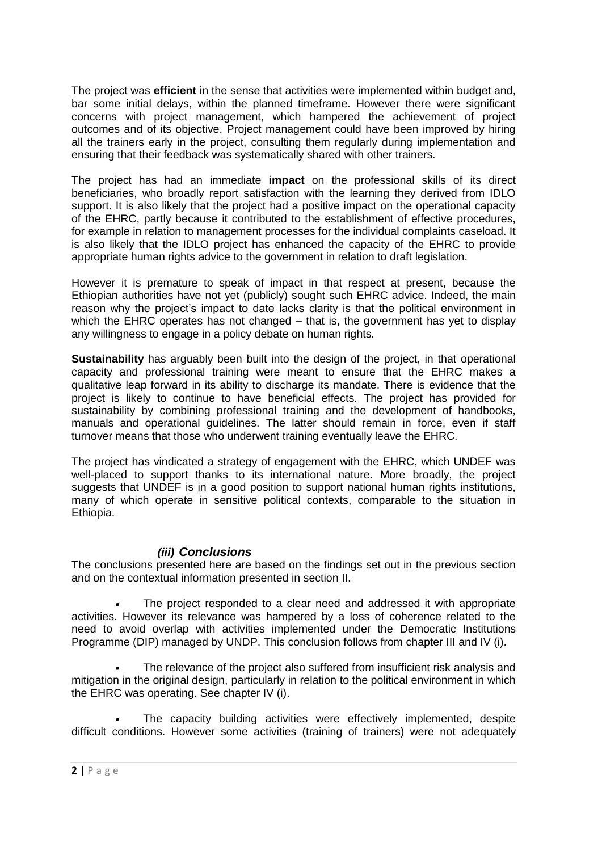The project was **efficient** in the sense that activities were implemented within budget and, bar some initial delays, within the planned timeframe. However there were significant concerns with project management, which hampered the achievement of project outcomes and of its objective. Project management could have been improved by hiring all the trainers early in the project, consulting them regularly during implementation and ensuring that their feedback was systematically shared with other trainers.

The project has had an immediate **impact** on the professional skills of its direct beneficiaries, who broadly report satisfaction with the learning they derived from IDLO support. It is also likely that the project had a positive impact on the operational capacity of the EHRC, partly because it contributed to the establishment of effective procedures, for example in relation to management processes for the individual complaints caseload. It is also likely that the IDLO project has enhanced the capacity of the EHRC to provide appropriate human rights advice to the government in relation to draft legislation.

However it is premature to speak of impact in that respect at present, because the Ethiopian authorities have not yet (publicly) sought such EHRC advice. Indeed, the main reason why the project's impact to date lacks clarity is that the political environment in which the EHRC operates has not changed – that is, the government has yet to display any willingness to engage in a policy debate on human rights.

**Sustainability** has arguably been built into the design of the project, in that operational capacity and professional training were meant to ensure that the EHRC makes a qualitative leap forward in its ability to discharge its mandate. There is evidence that the project is likely to continue to have beneficial effects. The project has provided for sustainability by combining professional training and the development of handbooks, manuals and operational guidelines. The latter should remain in force, even if staff turnover means that those who underwent training eventually leave the EHRC.

The project has vindicated a strategy of engagement with the EHRC, which UNDEF was well-placed to support thanks to its international nature. More broadly, the project suggests that UNDEF is in a good position to support national human rights institutions, many of which operate in sensitive political contexts, comparable to the situation in Ethiopia.

## *(iii) Conclusions*

The conclusions presented here are based on the findings set out in the previous section and on the contextual information presented in section II.

 The project responded to a clear need and addressed it with appropriate activities. However its relevance was hampered by a loss of coherence related to the need to avoid overlap with activities implemented under the Democratic Institutions Programme (DIP) managed by UNDP. This conclusion follows from chapter III and IV (i).

 The relevance of the project also suffered from insufficient risk analysis and mitigation in the original design, particularly in relation to the political environment in which the EHRC was operating. See chapter IV (i).

 The capacity building activities were effectively implemented, despite difficult conditions. However some activities (training of trainers) were not adequately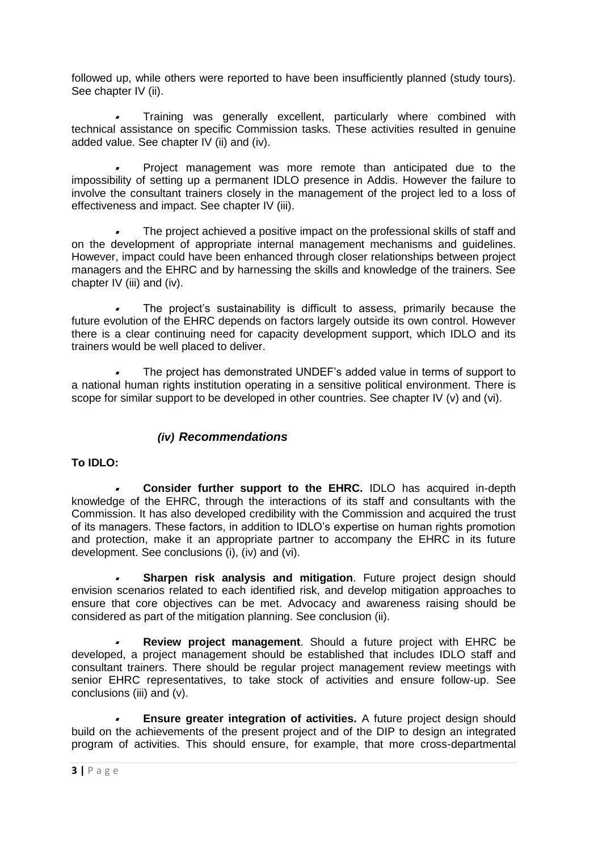followed up, while others were reported to have been insufficiently planned (study tours). See chapter IV (ii).

 Training was generally excellent, particularly where combined with technical assistance on specific Commission tasks. These activities resulted in genuine added value. See chapter IV (ii) and (iv).

 Project management was more remote than anticipated due to the impossibility of setting up a permanent IDLO presence in Addis. However the failure to involve the consultant trainers closely in the management of the project led to a loss of effectiveness and impact. See chapter IV (iii).

 The project achieved a positive impact on the professional skills of staff and on the development of appropriate internal management mechanisms and guidelines. However, impact could have been enhanced through closer relationships between project managers and the EHRC and by harnessing the skills and knowledge of the trainers. See chapter IV (iii) and (iv).

 The project's sustainability is difficult to assess, primarily because the future evolution of the EHRC depends on factors largely outside its own control. However there is a clear continuing need for capacity development support, which IDLO and its trainers would be well placed to deliver.

 The project has demonstrated UNDEF's added value in terms of support to a national human rights institution operating in a sensitive political environment. There is scope for similar support to be developed in other countries. See chapter IV (v) and (vi).

## *(iv) Recommendations*

## **To IDLO:**

**Consider further support to the EHRC.** IDLO has acquired in-depth knowledge of the EHRC, through the interactions of its staff and consultants with the Commission. It has also developed credibility with the Commission and acquired the trust of its managers. These factors, in addition to IDLO's expertise on human rights promotion and protection, make it an appropriate partner to accompany the EHRC in its future development. See conclusions (i), (iv) and (vi).

 **Sharpen risk analysis and mitigation**. Future project design should envision scenarios related to each identified risk, and develop mitigation approaches to ensure that core objectives can be met. Advocacy and awareness raising should be considered as part of the mitigation planning. See conclusion (ii).

 $\bullet$  **Review project management**. Should a future project with EHRC be developed, a project management should be established that includes IDLO staff and consultant trainers. There should be regular project management review meetings with senior EHRC representatives, to take stock of activities and ensure follow-up. See conclusions (iii) and (v).

 **Ensure greater integration of activities.** A future project design should build on the achievements of the present project and of the DIP to design an integrated program of activities. This should ensure, for example, that more cross-departmental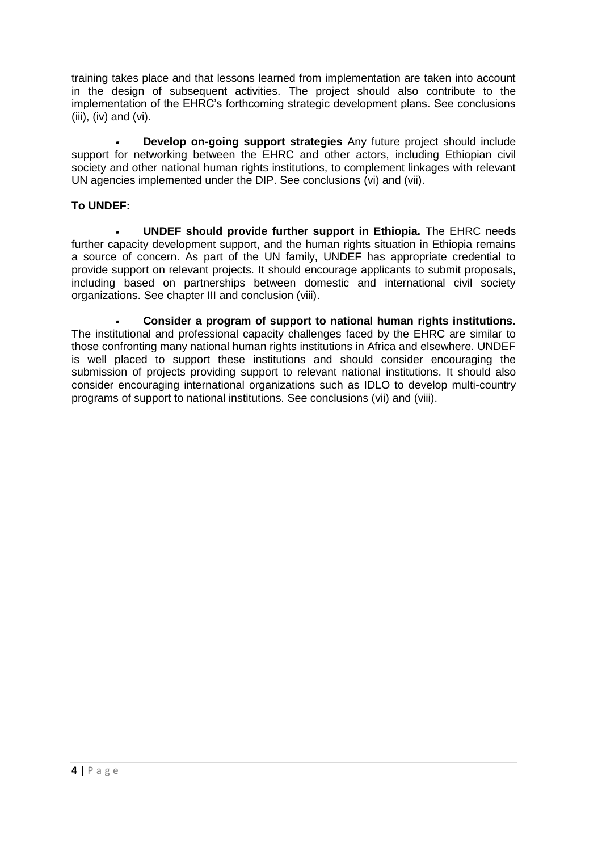training takes place and that lessons learned from implementation are taken into account in the design of subsequent activities. The project should also contribute to the implementation of the EHRC's forthcoming strategic development plans. See conclusions (iii), (iv) and (vi).

 **Develop on-going support strategies** Any future project should include support for networking between the EHRC and other actors, including Ethiopian civil society and other national human rights institutions, to complement linkages with relevant UN agencies implemented under the DIP. See conclusions (vi) and (vii).

## **To UNDEF:**

 **UNDEF should provide further support in Ethiopia.** The EHRC needs further capacity development support, and the human rights situation in Ethiopia remains a source of concern. As part of the UN family, UNDEF has appropriate credential to provide support on relevant projects. It should encourage applicants to submit proposals, including based on partnerships between domestic and international civil society organizations. See chapter III and conclusion (viii).

 **Consider a program of support to national human rights institutions.** The institutional and professional capacity challenges faced by the EHRC are similar to those confronting many national human rights institutions in Africa and elsewhere. UNDEF is well placed to support these institutions and should consider encouraging the submission of projects providing support to relevant national institutions. It should also consider encouraging international organizations such as IDLO to develop multi-country programs of support to national institutions. See conclusions (vii) and (viii).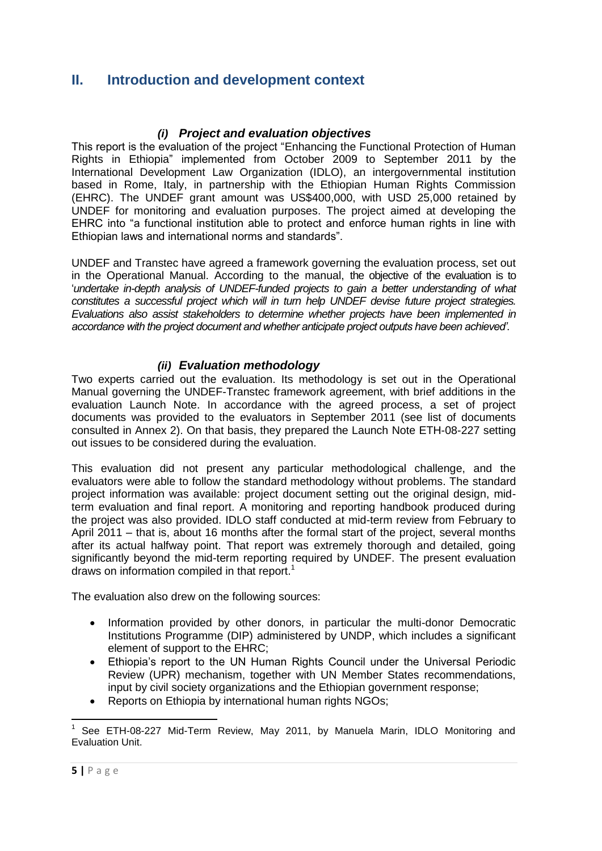## <span id="page-8-0"></span>**II. Introduction and development context**

## *(i) Project and evaluation objectives*

<span id="page-8-1"></span>This report is the evaluation of the project "Enhancing the Functional Protection of Human Rights in Ethiopia" implemented from October 2009 to September 2011 by the International Development Law Organization (IDLO), an intergovernmental institution based in Rome, Italy, in partnership with the Ethiopian Human Rights Commission (EHRC). The UNDEF grant amount was US\$400,000, with USD 25,000 retained by UNDEF for monitoring and evaluation purposes. The project aimed at developing the EHRC into "a functional institution able to protect and enforce human rights in line with Ethiopian laws and international norms and standards".

UNDEF and Transtec have agreed a framework governing the evaluation process, set out in the Operational Manual. According to the manual, the objective of the evaluation is to '*undertake in-depth analysis of UNDEF-funded projects to gain a better understanding of what constitutes a successful project which will in turn help UNDEF devise future project strategies. Evaluations also assist stakeholders to determine whether projects have been implemented in accordance with the project document and whether anticipate project outputs have been achieved'*.

## *(ii) Evaluation methodology*

<span id="page-8-2"></span>Two experts carried out the evaluation. Its methodology is set out in the Operational Manual governing the UNDEF-Transtec framework agreement, with brief additions in the evaluation Launch Note. In accordance with the agreed process, a set of project documents was provided to the evaluators in September 2011 (see list of documents consulted in Annex 2). On that basis, they prepared the Launch Note ETH-08-227 setting out issues to be considered during the evaluation.

This evaluation did not present any particular methodological challenge, and the evaluators were able to follow the standard methodology without problems. The standard project information was available: project document setting out the original design, midterm evaluation and final report. A monitoring and reporting handbook produced during the project was also provided. IDLO staff conducted at mid-term review from February to April 2011 – that is, about 16 months after the formal start of the project, several months after its actual halfway point. That report was extremely thorough and detailed, going significantly beyond the mid-term reporting required by UNDEF. The present evaluation draws on information compiled in that report.<sup>1</sup>

The evaluation also drew on the following sources:

- Information provided by other donors, in particular the multi-donor Democratic Institutions Programme (DIP) administered by UNDP, which includes a significant element of support to the EHRC;
- Ethiopia's report to the UN Human Rights Council under the Universal Periodic Review (UPR) mechanism, together with UN Member States recommendations, input by civil society organizations and the Ethiopian government response;
- Reports on Ethiopia by international human rights NGOs;

 $\overline{\phantom{a}}$ 1 See ETH-08-227 Mid-Term Review, May 2011, by Manuela Marin, IDLO Monitoring and Evaluation Unit.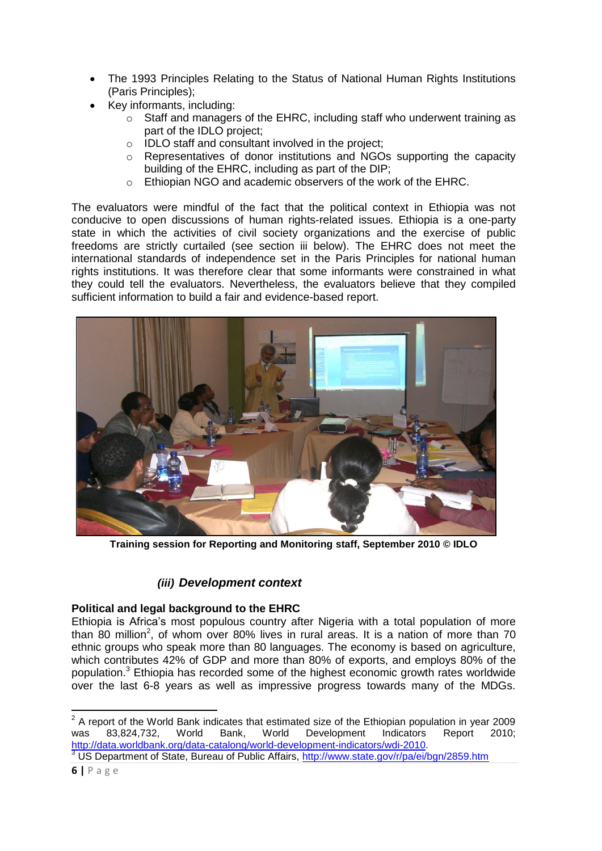- The 1993 Principles Relating to the Status of National Human Rights Institutions (Paris Principles);
	- Key informants, including:
	- information, including.<br>
	Staff and managers of the EHRC, including staff who underwent training as part of the IDLO project;  $\sigma$  stan and managers of the ETHNC, including stan who underwent training as
	- part of the IDLO project,<br>o IDLO staff and consultant involved in the project;  $\circ$   $\Box$  DLO stair and consultant involved in the project;
		- $\circ$  Representatives of donor institutions and NGOs supporting the capacity building of the EHRC, including as part of the DIP;
			- o Ethiopian NGO and academic observers of the work of the EHRC.

The evaluators were mindful of the fact that the political context in Ethiopia was not conducive to open discussions of human rights-related issues. Ethiopia is a one-party state in which the activities of civil society organizations and the exercise of public freedoms are strictly curtailed (see section iii below). The EHRC does not meet the international standards of independence set in the Paris Principles for national human rights institutions. It was therefore clear that some informants were constrained in what they could tell the evaluators. Nevertheless, the evaluators believe that they compiled and the statement information to build a fair and evidence-based report.



Training session for Reporting and Monitoring staff, September 2010 © IDLO

#### <span id="page-9-0"></span>*(iii) Development context*   $P_{\text{max}}$  supersymmetric sunts.

# **Political and legal background to the EHRC**

Pontical and legal background to the LTING<br>Ethiopia is Africa's most populous country after Nigeria with a total population of more than 80 million<sup>2</sup>, of whom over 80% lives in rural areas. It is a nation of more than 70 ethnic groups who speak more than 80 languages. The economy is based on agriculture, which contributes 42% of GDP and more than 80% of exports, and employs 80% of the population.<sup>3</sup> Ethiopia has recorded some of the highest economic growth rates worldwide over the last 6-8 years as well as impressive progr population.<sup>3</sup> Ethiopia has recorded some of the highest economic growth rates worldwide over the last 6-8 years as well as impressive progress towards many of the MDGs.

<sup>3</sup> US Department of State, Bureau of Public Affairs,<http://www.state.gov/r/pa/ei/bgn/2859.htm>

**\_\_\_\_\_\_\_\_\_\_\_\_\_\_\_\_\_\_\_\_\_\_\_\_\_\_\_\_\_\_\_\_\_**<br><sup>2</sup> A report of the World Bank indicates that estimated size of the Ethiopian population in year 2009 was 83,824,732, World Bank, World Development Indicators Report 2010; [http://data.worldbank.org/data-catalong/world-development-indicators/wdi-2010.](http://data.worldbank.org/data-catalong/world-development-indicators/wdi-2010)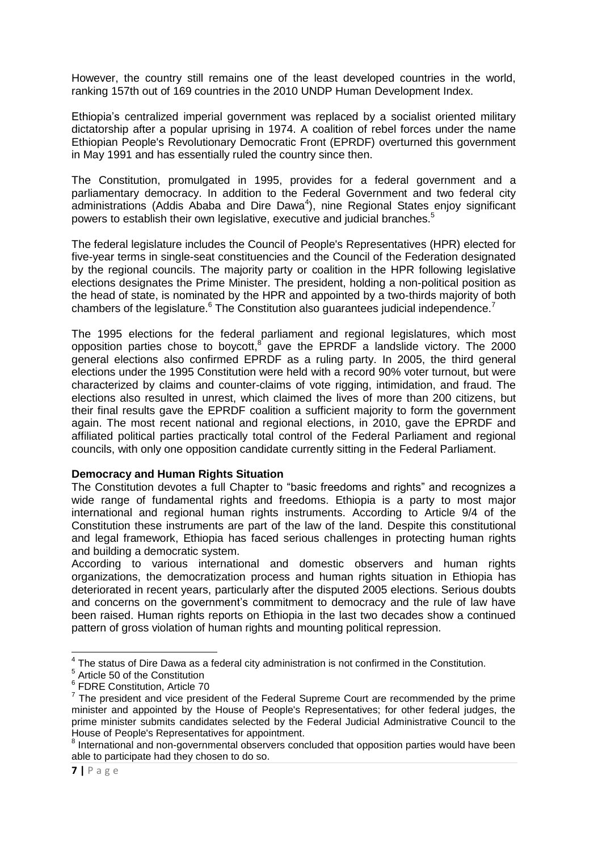However, the country still remains one of the least developed countries in the world, ranking 157th out of 169 countries in the 2010 UNDP Human Development Index.

Ethiopia's centralized imperial government was replaced by a socialist oriented military dictatorship after a popular uprising in 1974. A coalition of rebel forces under the name Ethiopian People's Revolutionary Democratic Front (EPRDF) overturned this government in May 1991 and has essentially ruled the country since then.

The Constitution, promulgated in 1995, provides for a federal government and a parliamentary democracy. In addition to the Federal Government and two federal city administrations (Addis Ababa and Dire Dawa<sup>4</sup>), nine Regional States enjoy significant powers to establish their own legislative, executive and judicial branches.<sup>5</sup>

The federal legislature includes the Council of People's Representatives (HPR) elected for five-year terms in single-seat constituencies and the Council of the Federation designated by the regional councils. The majority party or coalition in the HPR following legislative elections designates the Prime Minister. The president, holding a non-political position as the head of state, is nominated by the HPR and appointed by a two-thirds majority of both chambers of the legislature. $6$  The Constitution also guarantees judicial independence.<sup>7</sup>

The 1995 elections for the federal parliament and regional legislatures, which most opposition parties chose to boycott, $^8$  gave the EPRDF a landslide victory. The 2000 general elections also confirmed EPRDF as a ruling party. In 2005, the third general elections under the 1995 Constitution were held with a record 90% voter turnout, but were characterized by claims and counter-claims of vote rigging, intimidation, and fraud. The elections also resulted in unrest, which claimed the lives of more than 200 citizens, but their final results gave the EPRDF coalition a sufficient majority to form the government again. The most recent national and regional elections, in 2010, gave the EPRDF and affiliated political parties practically total control of the Federal Parliament and regional councils, with only one opposition candidate currently sitting in the Federal Parliament.

#### **Democracy and Human Rights Situation**

The Constitution devotes a full Chapter to "basic freedoms and rights" and recognizes a wide range of fundamental rights and freedoms. Ethiopia is a party to most major international and regional human rights instruments. According to Article 9/4 of the Constitution these instruments are part of the law of the land. Despite this constitutional and legal framework, Ethiopia has faced serious challenges in protecting human rights and building a democratic system.

According to various international and domestic observers and human rights organizations, the democratization process and human rights situation in Ethiopia has deteriorated in recent years, particularly after the disputed 2005 elections. Serious doubts and concerns on the government's commitment to democracy and the rule of law have been raised. Human rights reports on Ethiopia in the last two decades show a continued pattern of gross violation of human rights and mounting political repression.

 4 The status of Dire Dawa as a federal city administration is not confirmed in the Constitution.

<sup>5</sup> Article 50 of the Constitution

<sup>6</sup> FDRE Constitution, Article 70

 $7$  The president and vice president of the Federal Supreme Court are recommended by the prime minister and appointed by the House of People's Representatives; for other federal judges, the prime minister submits candidates selected by the Federal Judicial Administrative Council to the House of People's Representatives for appointment.

<sup>&</sup>lt;sup>8</sup> International and non-governmental observers concluded that opposition parties would have been able to participate had they chosen to do so.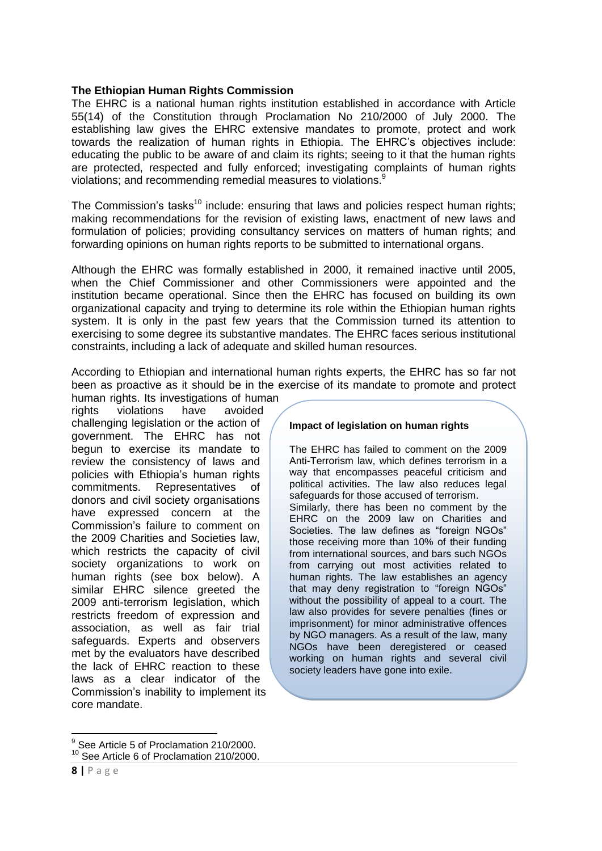#### **The Ethiopian Human Rights Commission**

The EHRC is a national human rights institution established in accordance with Article 55(14) of the Constitution through Proclamation No 210/2000 of July 2000. The establishing law gives the EHRC extensive mandates to promote, protect and work towards the realization of human rights in Ethiopia. The EHRC's objectives include: educating the public to be aware of and claim its rights; seeing to it that the human rights are protected, respected and fully enforced; investigating complaints of human rights violations; and recommending remedial measures to violations.<sup>9</sup>

The Commission's tasks<sup>10</sup> include: ensuring that laws and policies respect human rights; making recommendations for the revision of existing laws, enactment of new laws and formulation of policies; providing consultancy services on matters of human rights; and forwarding opinions on human rights reports to be submitted to international organs.

Although the EHRC was formally established in 2000, it remained inactive until 2005, when the Chief Commissioner and other Commissioners were appointed and the institution became operational. Since then the EHRC has focused on building its own organizational capacity and trying to determine its role within the Ethiopian human rights system. It is only in the past few years that the Commission turned its attention to exercising to some degree its substantive mandates. The EHRC faces serious institutional constraints, including a lack of adequate and skilled human resources.

According to Ethiopian and international human rights experts, the EHRC has so far not been as proactive as it should be in the exercise of its mandate to promote and protect

human rights. Its investigations of human rights violations have avoided challenging legislation or the action of government. The EHRC has not begun to exercise its mandate to review the consistency of laws and policies with Ethiopia's human rights commitments. Representatives of donors and civil society organisations have expressed concern at the Commission's failure to comment on the 2009 Charities and Societies law, which restricts the capacity of civil society organizations to work on human rights (see box below). A similar EHRC silence greeted the 2009 anti-terrorism legislation, which restricts freedom of expression and association, as well as fair trial safeguards. Experts and observers met by the evaluators have described the lack of EHRC reaction to these laws as a clear indicator of the Commission's inability to implement its core mandate.

#### **Impact of legislation on human rights**

The EHRC has failed to comment on the 2009 Anti-Terrorism law, which defines terrorism in a way that encompasses peaceful criticism and political activities. The law also reduces legal safeguards for those accused of terrorism. Similarly, there has been no comment by the EHRC on the 2009 law on Charities and Societies. The law defines as "foreign NGOs" those receiving more than 10% of their funding from international sources, and bars such NGOs from carrying out most activities related to human rights. The law establishes an agency that may deny registration to "foreign NGOs" without the possibility of appeal to a court. The law also provides for severe penalties (fines or imprisonment) for minor administrative offences by NGO managers. As a result of the law, many NGOs have been deregistered or ceased working on human rights and several civil society leaders have gone into exile.

 9 See Article 5 of Proclamation 210/2000.

<sup>&</sup>lt;sup>10</sup> See Article 6 of Proclamation 210/2000.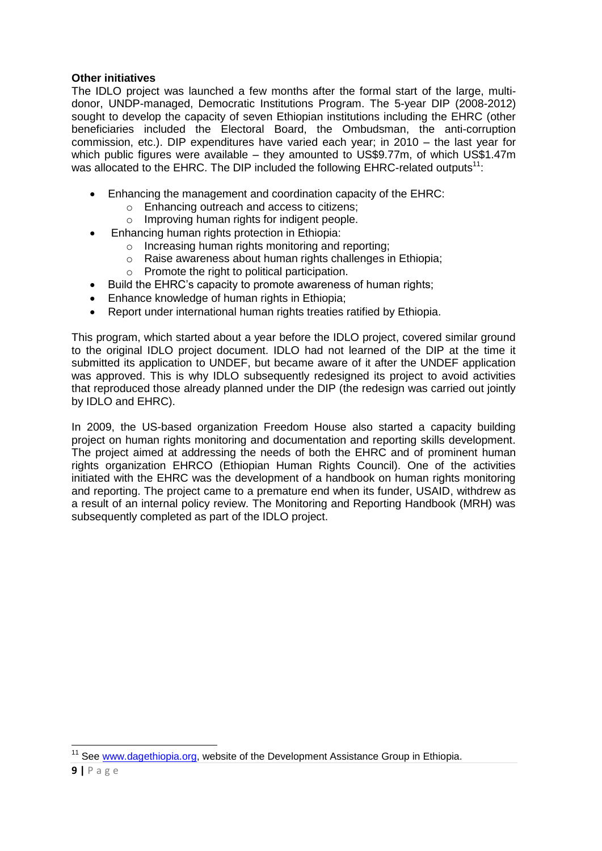## **Other initiatives**

The IDLO project was launched a few months after the formal start of the large, multidonor, UNDP-managed, Democratic Institutions Program. The 5-year DIP (2008-2012) sought to develop the capacity of seven Ethiopian institutions including the EHRC (other beneficiaries included the Electoral Board, the Ombudsman, the anti-corruption commission, etc.). DIP expenditures have varied each year; in 2010 – the last year for which public figures were available – they amounted to US\$9.77m, of which US\$1.47m was allocated to the EHRC. The DIP included the following EHRC-related outputs<sup>11</sup>:

- Enhancing the management and coordination capacity of the EHRC:
	- o Enhancing outreach and access to citizens;
	- o Improving human rights for indigent people.
- Enhancing human rights protection in Ethiopia:
	- o Increasing human rights monitoring and reporting;
	- o Raise awareness about human rights challenges in Ethiopia;
	- o Promote the right to political participation.
- Build the EHRC's capacity to promote awareness of human rights;
- Enhance knowledge of human rights in Ethiopia;
- Report under international human rights treaties ratified by Ethiopia.

This program, which started about a year before the IDLO project, covered similar ground to the original IDLO project document. IDLO had not learned of the DIP at the time it submitted its application to UNDEF, but became aware of it after the UNDEF application was approved. This is why IDLO subsequently redesigned its project to avoid activities that reproduced those already planned under the DIP (the redesign was carried out jointly by IDLO and EHRC).

In 2009, the US-based organization Freedom House also started a capacity building project on human rights monitoring and documentation and reporting skills development. The project aimed at addressing the needs of both the EHRC and of prominent human rights organization EHRCO (Ethiopian Human Rights Council). One of the activities initiated with the EHRC was the development of a handbook on human rights monitoring and reporting. The project came to a premature end when its funder, USAID, withdrew as a result of an internal policy review. The Monitoring and Reporting Handbook (MRH) was subsequently completed as part of the IDLO project.

 $\overline{\phantom{a}}$ <sup>11</sup> See [www.dagethiopia.org,](http://www.dagethiopia.org/) website of the Development Assistance Group in Ethiopia.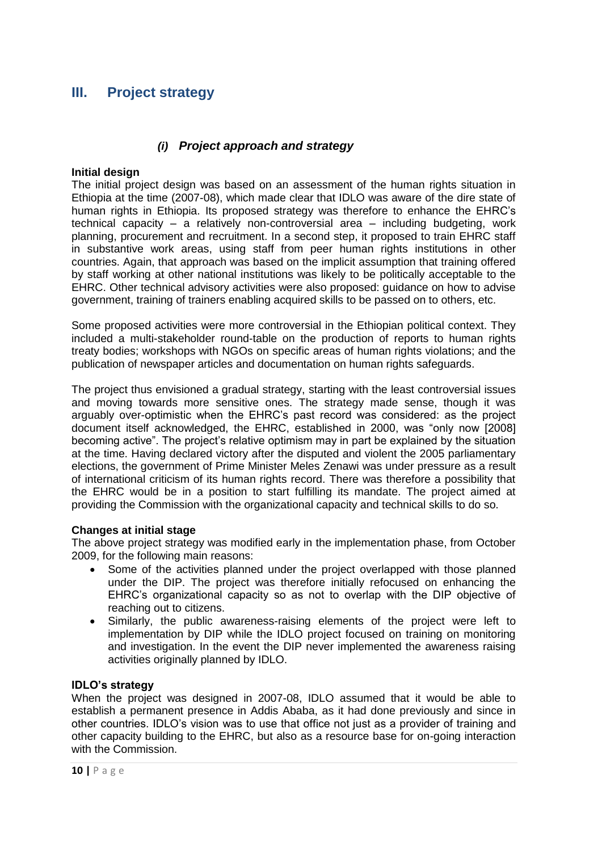## <span id="page-13-0"></span>**III. Project strategy**

## *(i) Project approach and strategy*

### <span id="page-13-1"></span>**Initial design**

The initial project design was based on an assessment of the human rights situation in Ethiopia at the time (2007-08), which made clear that IDLO was aware of the dire state of human rights in Ethiopia. Its proposed strategy was therefore to enhance the EHRC's technical capacity – a relatively non-controversial area – including budgeting, work planning, procurement and recruitment. In a second step, it proposed to train EHRC staff in substantive work areas, using staff from peer human rights institutions in other countries. Again, that approach was based on the implicit assumption that training offered by staff working at other national institutions was likely to be politically acceptable to the EHRC. Other technical advisory activities were also proposed: guidance on how to advise government, training of trainers enabling acquired skills to be passed on to others, etc.

Some proposed activities were more controversial in the Ethiopian political context. They included a multi-stakeholder round-table on the production of reports to human rights treaty bodies; workshops with NGOs on specific areas of human rights violations; and the publication of newspaper articles and documentation on human rights safeguards.

The project thus envisioned a gradual strategy, starting with the least controversial issues and moving towards more sensitive ones. The strategy made sense, though it was arguably over-optimistic when the EHRC's past record was considered: as the project document itself acknowledged, the EHRC, established in 2000, was "only now [2008] becoming active". The project's relative optimism may in part be explained by the situation at the time. Having declared victory after the disputed and violent the 2005 parliamentary elections, the government of Prime Minister Meles Zenawi was under pressure as a result of international criticism of its human rights record. There was therefore a possibility that the EHRC would be in a position to start fulfilling its mandate. The project aimed at providing the Commission with the organizational capacity and technical skills to do so.

### **Changes at initial stage**

The above project strategy was modified early in the implementation phase, from October 2009, for the following main reasons:

- Some of the activities planned under the project overlapped with those planned under the DIP. The project was therefore initially refocused on enhancing the EHRC's organizational capacity so as not to overlap with the DIP objective of reaching out to citizens.
- Similarly, the public awareness-raising elements of the project were left to implementation by DIP while the IDLO project focused on training on monitoring and investigation. In the event the DIP never implemented the awareness raising activities originally planned by IDLO.

### **IDLO's strategy**

When the project was designed in 2007-08, IDLO assumed that it would be able to establish a permanent presence in Addis Ababa, as it had done previously and since in other countries. IDLO's vision was to use that office not just as a provider of training and other capacity building to the EHRC, but also as a resource base for on-going interaction with the Commission.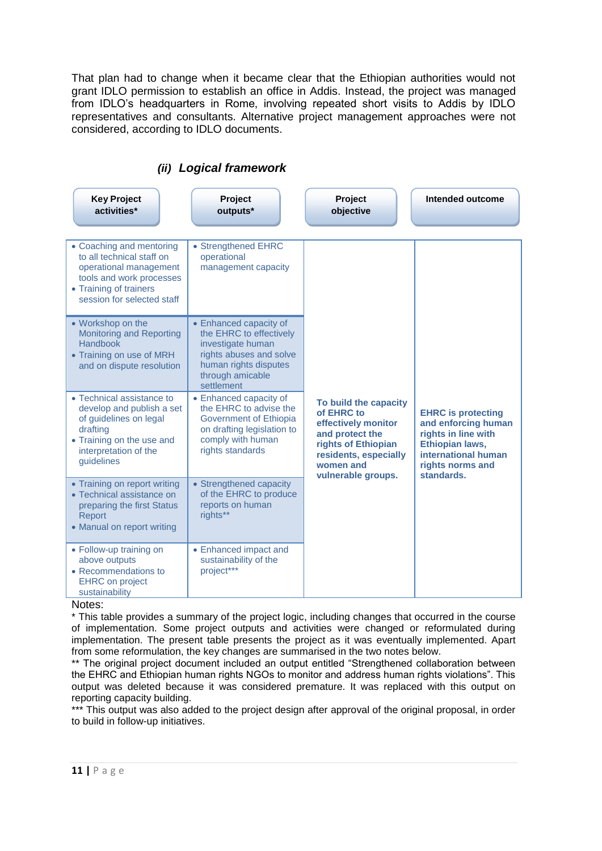That plan had to change when it became clear that the Ethiopian authorities would not grant IDLO permission to establish an office in Addis. Instead, the project was managed from IDLO's headquarters in Rome, involving repeated short visits to Addis by IDLO representatives and consultants. Alternative project management approaches were not considered, according to IDLO documents.

<span id="page-14-0"></span>

| <b>Key Project</b><br>activities*                                                                                                                                   | Project<br>outputs*                                                                                                                                          | Project<br>objective                                                                                                                                             | Intended outcome                                                                                                                                    |
|---------------------------------------------------------------------------------------------------------------------------------------------------------------------|--------------------------------------------------------------------------------------------------------------------------------------------------------------|------------------------------------------------------------------------------------------------------------------------------------------------------------------|-----------------------------------------------------------------------------------------------------------------------------------------------------|
| • Coaching and mentoring<br>to all technical staff on<br>operational management<br>tools and work processes<br>• Training of trainers<br>session for selected staff | • Strengthened EHRC<br>operational<br>management capacity                                                                                                    |                                                                                                                                                                  |                                                                                                                                                     |
| • Workshop on the<br><b>Monitoring and Reporting</b><br><b>Handbook</b><br>• Training on use of MRH<br>and on dispute resolution                                    | • Enhanced capacity of<br>the EHRC to effectively<br>investigate human<br>rights abuses and solve<br>human rights disputes<br>through amicable<br>settlement |                                                                                                                                                                  |                                                                                                                                                     |
| • Technical assistance to<br>develop and publish a set<br>of guidelines on legal<br>drafting<br>• Training on the use and<br>interpretation of the<br>guidelines    | • Enhanced capacity of<br>the EHRC to advise the<br>Government of Ethiopia<br>on drafting legislation to<br>comply with human<br>rights standards            | To build the capacity<br>of EHRC to<br>effectively monitor<br>and protect the<br>rights of Ethiopian<br>residents, especially<br>women and<br>vulnerable groups. | <b>EHRC</b> is protecting<br>and enforcing human<br>rights in line with<br>Ethiopian laws,<br>international human<br>rights norms and<br>standards. |
| • Training on report writing<br>• Technical assistance on<br>preparing the first Status<br>Report<br>• Manual on report writing                                     | • Strengthened capacity<br>of the EHRC to produce<br>reports on human<br>rights**                                                                            |                                                                                                                                                                  |                                                                                                                                                     |
| • Follow-up training on<br>above outputs<br>• Recommendations to<br><b>EHRC</b> on project<br>sustainability<br>.                                                   | • Enhanced impact and<br>sustainability of the<br>project***                                                                                                 |                                                                                                                                                                  |                                                                                                                                                     |

## *(ii) Logical framework*

#### Notes:

\* This table provides a summary of the project logic, including changes that occurred in the course of implementation. Some project outputs and activities were changed or reformulated during implementation. The present table presents the project as it was eventually implemented. Apart from some reformulation, the key changes are summarised in the two notes below.

\*\* The original project document included an output entitled "Strengthened collaboration between the EHRC and Ethiopian human rights NGOs to monitor and address human rights violations". This output was deleted because it was considered premature. It was replaced with this output on reporting capacity building.

\*\*\* This output was also added to the project design after approval of the original proposal, in order to build in follow-up initiatives.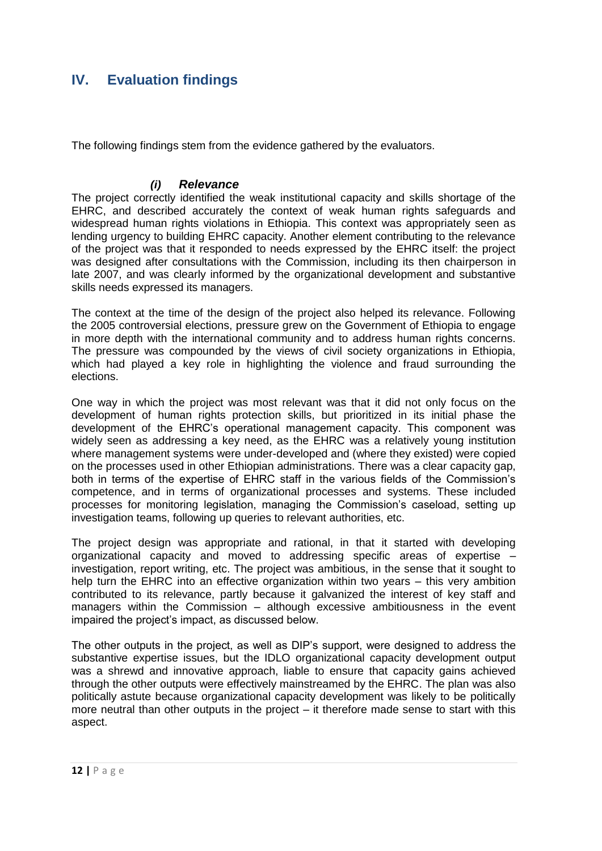## <span id="page-15-0"></span>**IV. Evaluation findings**

The following findings stem from the evidence gathered by the evaluators.

## *(i) Relevance*

<span id="page-15-1"></span>The project correctly identified the weak institutional capacity and skills shortage of the EHRC, and described accurately the context of weak human rights safeguards and widespread human rights violations in Ethiopia. This context was appropriately seen as lending urgency to building EHRC capacity. Another element contributing to the relevance of the project was that it responded to needs expressed by the EHRC itself: the project was designed after consultations with the Commission, including its then chairperson in late 2007, and was clearly informed by the organizational development and substantive skills needs expressed its managers.

The context at the time of the design of the project also helped its relevance. Following the 2005 controversial elections, pressure grew on the Government of Ethiopia to engage in more depth with the international community and to address human rights concerns. The pressure was compounded by the views of civil society organizations in Ethiopia, which had played a key role in highlighting the violence and fraud surrounding the elections.

One way in which the project was most relevant was that it did not only focus on the development of human rights protection skills, but prioritized in its initial phase the development of the EHRC's operational management capacity. This component was widely seen as addressing a key need, as the EHRC was a relatively young institution where management systems were under-developed and (where they existed) were copied on the processes used in other Ethiopian administrations. There was a clear capacity gap, both in terms of the expertise of EHRC staff in the various fields of the Commission's competence, and in terms of organizational processes and systems. These included processes for monitoring legislation, managing the Commission's caseload, setting up investigation teams, following up queries to relevant authorities, etc.

The project design was appropriate and rational, in that it started with developing organizational capacity and moved to addressing specific areas of expertise – investigation, report writing, etc. The project was ambitious, in the sense that it sought to help turn the EHRC into an effective organization within two years – this very ambition contributed to its relevance, partly because it galvanized the interest of key staff and managers within the Commission – although excessive ambitiousness in the event impaired the project's impact, as discussed below.

The other outputs in the project, as well as DIP's support, were designed to address the substantive expertise issues, but the IDLO organizational capacity development output was a shrewd and innovative approach, liable to ensure that capacity gains achieved through the other outputs were effectively mainstreamed by the EHRC. The plan was also politically astute because organizational capacity development was likely to be politically more neutral than other outputs in the project – it therefore made sense to start with this aspect.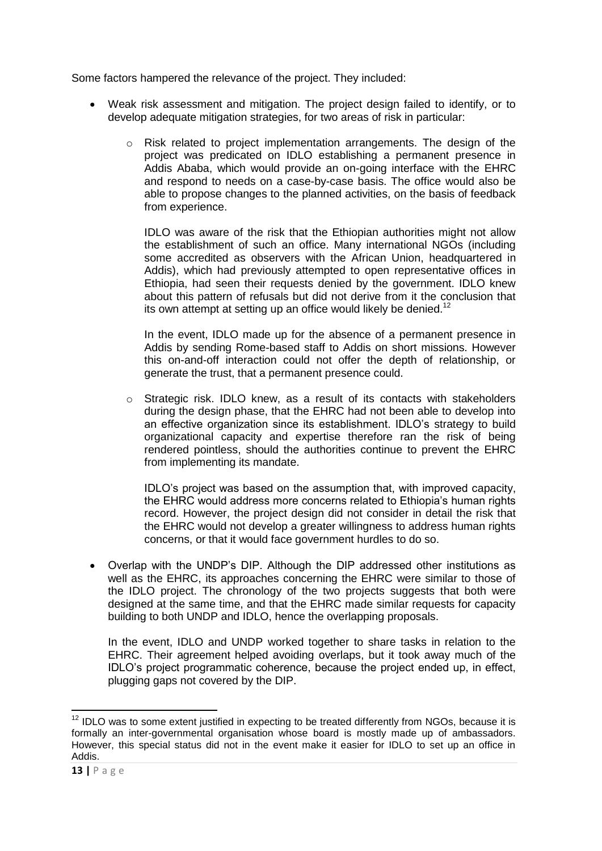Some factors hampered the relevance of the project. They included:

- Weak risk assessment and mitigation. The project design failed to identify, or to develop adequate mitigation strategies, for two areas of risk in particular:
	- o Risk related to project implementation arrangements. The design of the project was predicated on IDLO establishing a permanent presence in Addis Ababa, which would provide an on-going interface with the EHRC and respond to needs on a case-by-case basis. The office would also be able to propose changes to the planned activities, on the basis of feedback from experience.

IDLO was aware of the risk that the Ethiopian authorities might not allow the establishment of such an office. Many international NGOs (including some accredited as observers with the African Union, headquartered in Addis), which had previously attempted to open representative offices in Ethiopia, had seen their requests denied by the government. IDLO knew about this pattern of refusals but did not derive from it the conclusion that its own attempt at setting up an office would likely be denied.<sup>12</sup>

In the event, IDLO made up for the absence of a permanent presence in Addis by sending Rome-based staff to Addis on short missions. However this on-and-off interaction could not offer the depth of relationship, or generate the trust, that a permanent presence could.

o Strategic risk. IDLO knew, as a result of its contacts with stakeholders during the design phase, that the EHRC had not been able to develop into an effective organization since its establishment. IDLO's strategy to build organizational capacity and expertise therefore ran the risk of being rendered pointless, should the authorities continue to prevent the EHRC from implementing its mandate.

IDLO's project was based on the assumption that, with improved capacity, the EHRC would address more concerns related to Ethiopia's human rights record. However, the project design did not consider in detail the risk that the EHRC would not develop a greater willingness to address human rights concerns, or that it would face government hurdles to do so.

 Overlap with the UNDP's DIP. Although the DIP addressed other institutions as well as the EHRC, its approaches concerning the EHRC were similar to those of the IDLO project. The chronology of the two projects suggests that both were designed at the same time, and that the EHRC made similar requests for capacity building to both UNDP and IDLO, hence the overlapping proposals.

In the event, IDLO and UNDP worked together to share tasks in relation to the EHRC. Their agreement helped avoiding overlaps, but it took away much of the IDLO's project programmatic coherence, because the project ended up, in effect, plugging gaps not covered by the DIP.

**.** 

 $12$  IDLO was to some extent justified in expecting to be treated differently from NGOs, because it is formally an inter-governmental organisation whose board is mostly made up of ambassadors. However, this special status did not in the event make it easier for IDLO to set up an office in Addis.

**<sup>13</sup> |** P a g e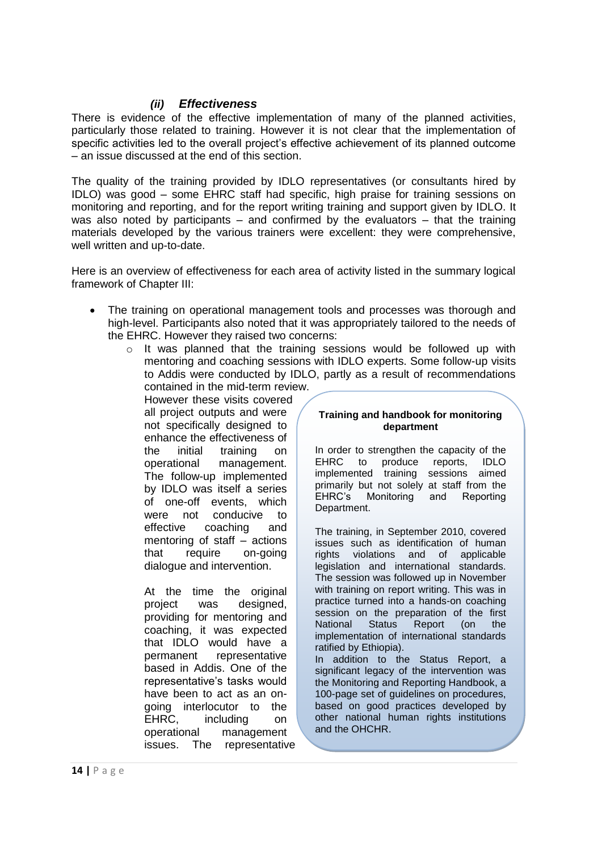## *(ii) Effectiveness*

<span id="page-17-0"></span>There is evidence of the effective implementation of many of the planned activities, particularly those related to training. However it is not clear that the implementation of specific activities led to the overall project's effective achievement of its planned outcome – an issue discussed at the end of this section.

The quality of the training provided by IDLO representatives (or consultants hired by IDLO) was good – some EHRC staff had specific, high praise for training sessions on monitoring and reporting, and for the report writing training and support given by IDLO. It was also noted by participants – and confirmed by the evaluators – that the training materials developed by the various trainers were excellent: they were comprehensive, well written and up-to-date.

Here is an overview of effectiveness for each area of activity listed in the summary logical framework of Chapter III:

- The training on operational management tools and processes was thorough and high-level. Participants also noted that it was appropriately tailored to the needs of the EHRC. However they raised two concerns:
	- $\circ$  It was planned that the training sessions would be followed up with mentoring and coaching sessions with IDLO experts. Some follow-up visits to Addis were conducted by IDLO, partly as a result of recommendations contained in the mid-term review.

However these visits covered all project outputs and were not specifically designed to enhance the effectiveness of the initial training on operational management. The follow-up implemented by IDLO was itself a series of one-off events, which were not conducive to effective coaching and mentoring of staff – actions that require on-going dialogue and intervention.

At the time the original project was designed, providing for mentoring and coaching, it was expected that IDLO would have a permanent representative based in Addis. One of the representative's tasks would have been to act as an ongoing interlocutor to the EHRC, including on operational management issues. The representative

#### **Training and handbook for monitoring department**

In order to strengthen the capacity of the EHRC to produce reports, IDLO implemented training sessions aimed primarily but not solely at staff from the EHRC's Monitoring and Reporting Department.

The training, in September 2010, covered issues such as identification of human rights violations and of applicable legislation and international standards. The session was followed up in November with training on report writing. This was in practice turned into a hands-on coaching session on the preparation of the first National Status Report (on the implementation of international standards ratified by Ethiopia).

In addition to the Status Report, a significant legacy of the intervention was the Monitoring and Reporting Handbook, a 100-page set of guidelines on procedures, based on good practices developed by other national human rights institutions and the OHCHR.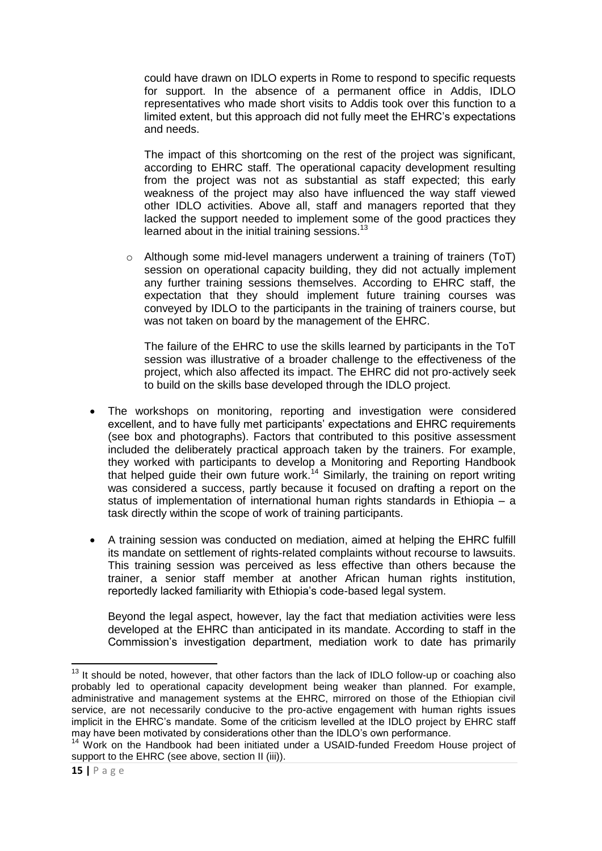could have drawn on IDLO experts in Rome to respond to specific requests for support. In the absence of a permanent office in Addis, IDLO representatives who made short visits to Addis took over this function to a limited extent, but this approach did not fully meet the EHRC's expectations and needs.

The impact of this shortcoming on the rest of the project was significant, according to EHRC staff. The operational capacity development resulting from the project was not as substantial as staff expected; this early weakness of the project may also have influenced the way staff viewed other IDLO activities. Above all, staff and managers reported that they lacked the support needed to implement some of the good practices they learned about in the initial training sessions. $13$ 

o Although some mid-level managers underwent a training of trainers (ToT) session on operational capacity building, they did not actually implement any further training sessions themselves. According to EHRC staff, the expectation that they should implement future training courses was conveyed by IDLO to the participants in the training of trainers course, but was not taken on board by the management of the EHRC.

The failure of the EHRC to use the skills learned by participants in the ToT session was illustrative of a broader challenge to the effectiveness of the project, which also affected its impact. The EHRC did not pro-actively seek to build on the skills base developed through the IDLO project.

- The workshops on monitoring, reporting and investigation were considered excellent, and to have fully met participants' expectations and EHRC requirements (see box and photographs). Factors that contributed to this positive assessment included the deliberately practical approach taken by the trainers. For example, they worked with participants to develop a Monitoring and Reporting Handbook that helped guide their own future work.<sup>14</sup> Similarly, the training on report writing was considered a success, partly because it focused on drafting a report on the status of implementation of international human rights standards in Ethiopia – a task directly within the scope of work of training participants.
- A training session was conducted on mediation, aimed at helping the EHRC fulfill its mandate on settlement of rights-related complaints without recourse to lawsuits. This training session was perceived as less effective than others because the trainer, a senior staff member at another African human rights institution, reportedly lacked familiarity with Ethiopia's code-based legal system.

Beyond the legal aspect, however, lay the fact that mediation activities were less developed at the EHRC than anticipated in its mandate. According to staff in the Commission's investigation department, mediation work to date has primarily

**<sup>.</sup>**  $13$  It should be noted, however, that other factors than the lack of IDLO follow-up or coaching also probably led to operational capacity development being weaker than planned. For example, administrative and management systems at the EHRC, mirrored on those of the Ethiopian civil service, are not necessarily conducive to the pro-active engagement with human rights issues implicit in the EHRC's mandate. Some of the criticism levelled at the IDLO project by EHRC staff may have been motivated by considerations other than the IDLO's own performance.

<sup>&</sup>lt;sup>14</sup> Work on the Handbook had been initiated under a USAID-funded Freedom House project of support to the EHRC (see above, section II (iii)).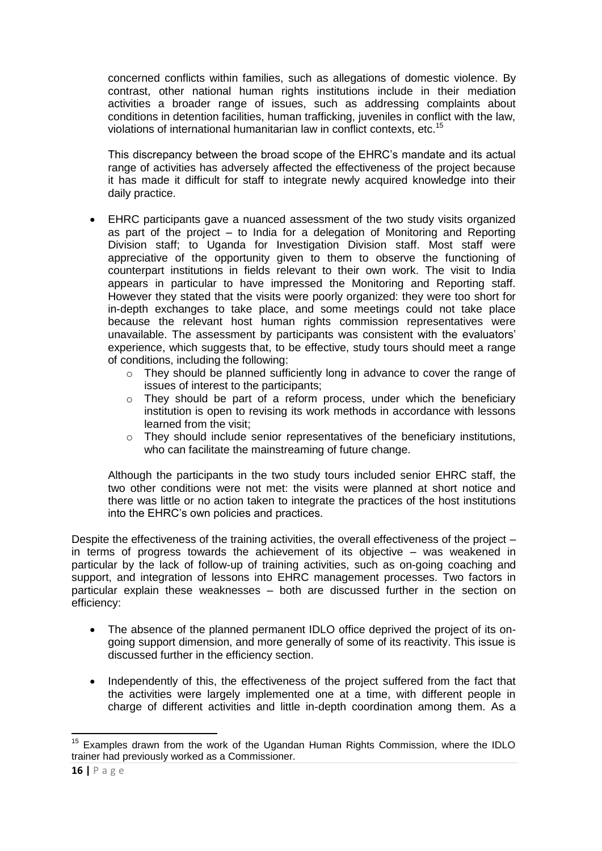concerned conflicts within families, such as allegations of domestic violence. By contrast, other national human rights institutions include in their mediation activities a broader range of issues, such as addressing complaints about conditions in detention facilities, human trafficking, juveniles in conflict with the law, violations of international humanitarian law in conflict contexts, etc.<sup>15</sup>

This discrepancy between the broad scope of the EHRC's mandate and its actual range of activities has adversely affected the effectiveness of the project because it has made it difficult for staff to integrate newly acquired knowledge into their daily practice.

- EHRC participants gave a nuanced assessment of the two study visits organized as part of the project – to India for a delegation of Monitoring and Reporting Division staff; to Uganda for Investigation Division staff. Most staff were appreciative of the opportunity given to them to observe the functioning of counterpart institutions in fields relevant to their own work. The visit to India appears in particular to have impressed the Monitoring and Reporting staff. However they stated that the visits were poorly organized: they were too short for in-depth exchanges to take place, and some meetings could not take place because the relevant host human rights commission representatives were unavailable. The assessment by participants was consistent with the evaluators' experience, which suggests that, to be effective, study tours should meet a range of conditions, including the following:
	- $\circ$  They should be planned sufficiently long in advance to cover the range of issues of interest to the participants;
	- $\circ$  They should be part of a reform process, under which the beneficiary institution is open to revising its work methods in accordance with lessons learned from the visit;
	- o They should include senior representatives of the beneficiary institutions, who can facilitate the mainstreaming of future change.

Although the participants in the two study tours included senior EHRC staff, the two other conditions were not met: the visits were planned at short notice and there was little or no action taken to integrate the practices of the host institutions into the EHRC's own policies and practices.

Despite the effectiveness of the training activities, the overall effectiveness of the project – in terms of progress towards the achievement of its objective – was weakened in particular by the lack of follow-up of training activities, such as on-going coaching and support, and integration of lessons into EHRC management processes. Two factors in particular explain these weaknesses – both are discussed further in the section on efficiency:

- The absence of the planned permanent IDLO office deprived the project of its ongoing support dimension, and more generally of some of its reactivity. This issue is discussed further in the efficiency section.
- Independently of this, the effectiveness of the project suffered from the fact that the activities were largely implemented one at a time, with different people in charge of different activities and little in-depth coordination among them. As a

**<sup>.</sup>**  $15$  Examples drawn from the work of the Ugandan Human Rights Commission, where the IDLO trainer had previously worked as a Commissioner.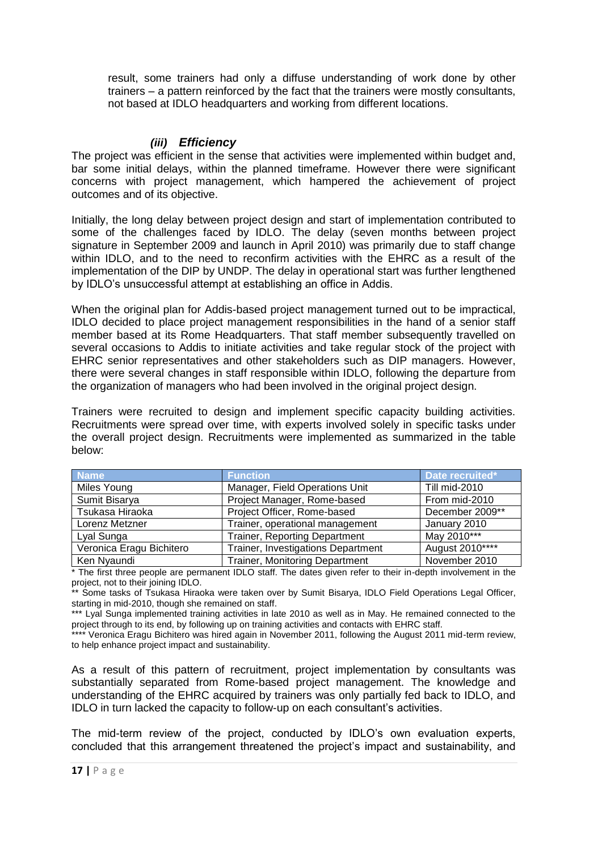result, some trainers had only a diffuse understanding of work done by other trainers – a pattern reinforced by the fact that the trainers were mostly consultants, not based at IDLO headquarters and working from different locations.

### *(iii) Efficiency*

<span id="page-20-0"></span>The project was efficient in the sense that activities were implemented within budget and, bar some initial delays, within the planned timeframe. However there were significant concerns with project management, which hampered the achievement of project outcomes and of its objective.

Initially, the long delay between project design and start of implementation contributed to some of the challenges faced by IDLO. The delay (seven months between project signature in September 2009 and launch in April 2010) was primarily due to staff change within IDLO, and to the need to reconfirm activities with the EHRC as a result of the implementation of the DIP by UNDP. The delay in operational start was further lengthened by IDLO's unsuccessful attempt at establishing an office in Addis.

When the original plan for Addis-based project management turned out to be impractical, IDLO decided to place project management responsibilities in the hand of a senior staff member based at its Rome Headquarters. That staff member subsequently travelled on several occasions to Addis to initiate activities and take regular stock of the project with EHRC senior representatives and other stakeholders such as DIP managers. However, there were several changes in staff responsible within IDLO, following the departure from the organization of managers who had been involved in the original project design.

Trainers were recruited to design and implement specific capacity building activities. Recruitments were spread over time, with experts involved solely in specific tasks under the overall project design. Recruitments were implemented as summarized in the table below:

| <b>Name</b>              | <b>Function</b>                       | Date recruited*      |
|--------------------------|---------------------------------------|----------------------|
| Miles Young              | Manager, Field Operations Unit        | <b>Till mid-2010</b> |
| Sumit Bisarya            | Project Manager, Rome-based           | From mid-2010        |
| Tsukasa Hiraoka          | Project Officer, Rome-based           | December 2009**      |
| Lorenz Metzner           | Trainer, operational management       | January 2010         |
| Lyal Sunga               | <b>Trainer, Reporting Department</b>  | May 2010***          |
| Veronica Eragu Bichitero | Trainer, Investigations Department    | August 2010****      |
| Ken Nyaundi              | <b>Trainer, Monitoring Department</b> | November 2010        |

\* The first three people are permanent IDLO staff. The dates given refer to their in-depth involvement in the project, not to their joining IDLO.

\*\* Some tasks of Tsukasa Hiraoka were taken over by Sumit Bisarya, IDLO Field Operations Legal Officer, starting in mid-2010, though she remained on staff.

\*\*\* Lyal Sunga implemented training activities in late 2010 as well as in May. He remained connected to the project through to its end, by following up on training activities and contacts with EHRC staff.

\*\*\* Veronica Eragu Bichitero was hired again in November 2011, following the August 2011 mid-term review, to help enhance project impact and sustainability.

As a result of this pattern of recruitment, project implementation by consultants was substantially separated from Rome-based project management. The knowledge and understanding of the EHRC acquired by trainers was only partially fed back to IDLO, and IDLO in turn lacked the capacity to follow-up on each consultant's activities.

The mid-term review of the project, conducted by IDLO's own evaluation experts, concluded that this arrangement threatened the project's impact and sustainability, and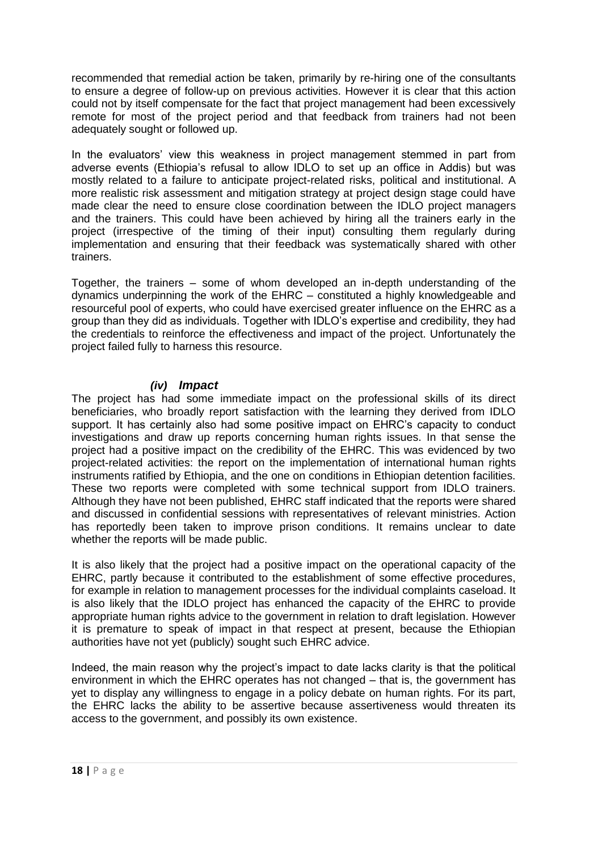recommended that remedial action be taken, primarily by re-hiring one of the consultants to ensure a degree of follow-up on previous activities. However it is clear that this action could not by itself compensate for the fact that project management had been excessively remote for most of the project period and that feedback from trainers had not been adequately sought or followed up.

In the evaluators' view this weakness in project management stemmed in part from adverse events (Ethiopia's refusal to allow IDLO to set up an office in Addis) but was mostly related to a failure to anticipate project-related risks, political and institutional. A more realistic risk assessment and mitigation strategy at project design stage could have made clear the need to ensure close coordination between the IDLO project managers and the trainers. This could have been achieved by hiring all the trainers early in the project (irrespective of the timing of their input) consulting them regularly during implementation and ensuring that their feedback was systematically shared with other trainers.

Together, the trainers – some of whom developed an in-depth understanding of the dynamics underpinning the work of the EHRC – constituted a highly knowledgeable and resourceful pool of experts, who could have exercised greater influence on the EHRC as a group than they did as individuals. Together with IDLO's expertise and credibility, they had the credentials to reinforce the effectiveness and impact of the project. Unfortunately the project failed fully to harness this resource.

## *(iv) Impact*

<span id="page-21-0"></span>The project has had some immediate impact on the professional skills of its direct beneficiaries, who broadly report satisfaction with the learning they derived from IDLO support. It has certainly also had some positive impact on EHRC's capacity to conduct investigations and draw up reports concerning human rights issues. In that sense the project had a positive impact on the credibility of the EHRC. This was evidenced by two project-related activities: the report on the implementation of international human rights instruments ratified by Ethiopia, and the one on conditions in Ethiopian detention facilities. These two reports were completed with some technical support from IDLO trainers. Although they have not been published, EHRC staff indicated that the reports were shared and discussed in confidential sessions with representatives of relevant ministries. Action has reportedly been taken to improve prison conditions. It remains unclear to date whether the reports will be made public.

It is also likely that the project had a positive impact on the operational capacity of the EHRC, partly because it contributed to the establishment of some effective procedures, for example in relation to management processes for the individual complaints caseload. It is also likely that the IDLO project has enhanced the capacity of the EHRC to provide appropriate human rights advice to the government in relation to draft legislation. However it is premature to speak of impact in that respect at present, because the Ethiopian authorities have not yet (publicly) sought such EHRC advice.

Indeed, the main reason why the project's impact to date lacks clarity is that the political environment in which the EHRC operates has not changed – that is, the government has yet to display any willingness to engage in a policy debate on human rights. For its part, the EHRC lacks the ability to be assertive because assertiveness would threaten its access to the government, and possibly its own existence.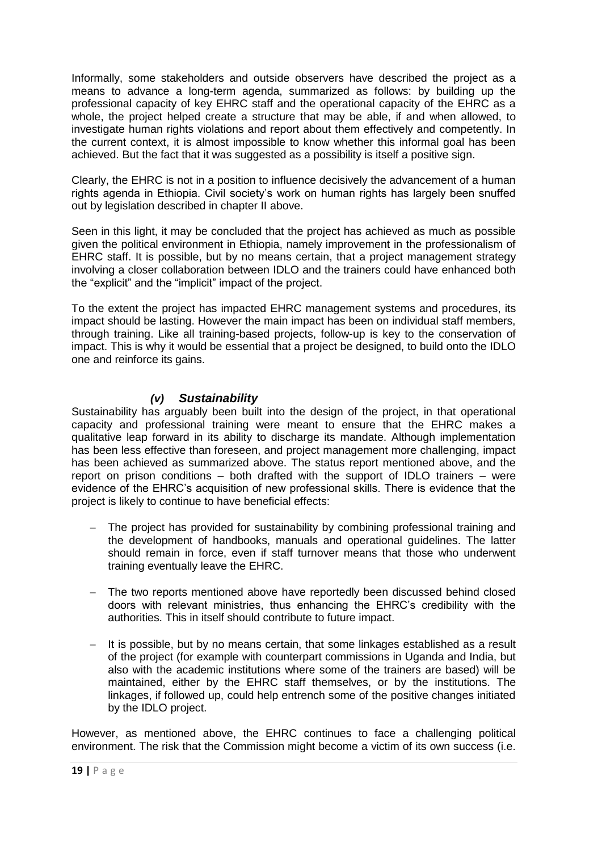Informally, some stakeholders and outside observers have described the project as a means to advance a long-term agenda, summarized as follows: by building up the professional capacity of key EHRC staff and the operational capacity of the EHRC as a whole, the project helped create a structure that may be able, if and when allowed, to investigate human rights violations and report about them effectively and competently. In the current context, it is almost impossible to know whether this informal goal has been achieved. But the fact that it was suggested as a possibility is itself a positive sign.

Clearly, the EHRC is not in a position to influence decisively the advancement of a human rights agenda in Ethiopia. Civil society's work on human rights has largely been snuffed out by legislation described in chapter II above.

Seen in this light, it may be concluded that the project has achieved as much as possible given the political environment in Ethiopia, namely improvement in the professionalism of EHRC staff. It is possible, but by no means certain, that a project management strategy involving a closer collaboration between IDLO and the trainers could have enhanced both the "explicit" and the "implicit" impact of the project.

To the extent the project has impacted EHRC management systems and procedures, its impact should be lasting. However the main impact has been on individual staff members, through training. Like all training-based projects, follow-up is key to the conservation of impact. This is why it would be essential that a project be designed, to build onto the IDLO one and reinforce its gains.

## *(v) Sustainability*

<span id="page-22-0"></span>Sustainability has arguably been built into the design of the project, in that operational capacity and professional training were meant to ensure that the EHRC makes a qualitative leap forward in its ability to discharge its mandate. Although implementation has been less effective than foreseen, and project management more challenging, impact has been achieved as summarized above. The status report mentioned above, and the report on prison conditions – both drafted with the support of IDLO trainers – were evidence of the EHRC's acquisition of new professional skills. There is evidence that the project is likely to continue to have beneficial effects:

- The project has provided for sustainability by combining professional training and the development of handbooks, manuals and operational guidelines. The latter should remain in force, even if staff turnover means that those who underwent training eventually leave the EHRC.
- The two reports mentioned above have reportedly been discussed behind closed doors with relevant ministries, thus enhancing the EHRC's credibility with the authorities. This in itself should contribute to future impact.
- $-$  It is possible, but by no means certain, that some linkages established as a result of the project (for example with counterpart commissions in Uganda and India, but also with the academic institutions where some of the trainers are based) will be maintained, either by the EHRC staff themselves, or by the institutions. The linkages, if followed up, could help entrench some of the positive changes initiated by the IDLO project.

However, as mentioned above, the EHRC continues to face a challenging political environment. The risk that the Commission might become a victim of its own success (i.e.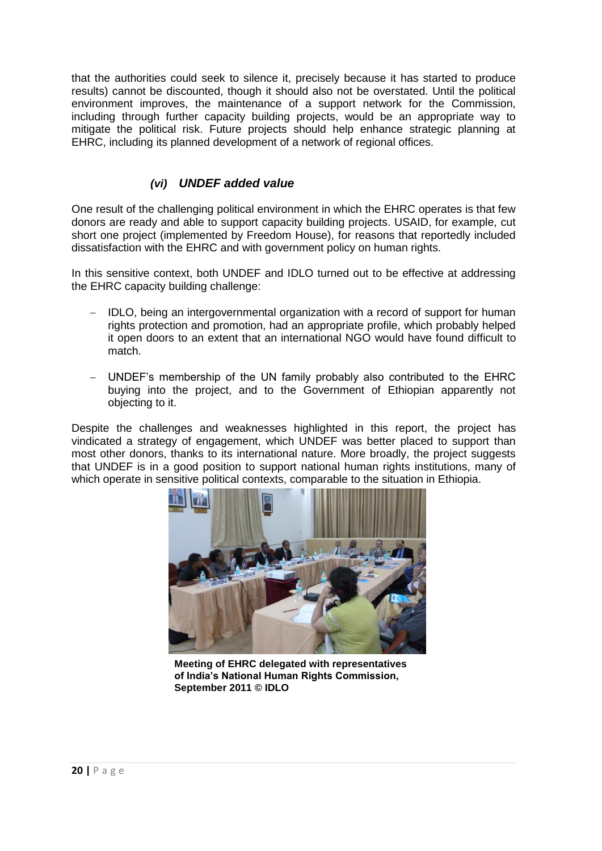that the authorities could seek to silence it, precisely because it has started to produce results) cannot be discounted, though it should also not be overstated. Until the political environment improves, the maintenance of a support network for the Commission, including through further capacity building projects, would be an appropriate way to mitigate the political risk. Future projects should help enhance strategic planning at EHRC, including its planned development of a network of regional offices.

## *(vi) UNDEF added value*

<span id="page-23-0"></span>One result of the challenging political environment in which the EHRC operates is that few donors are ready and able to support capacity building projects. USAID, for example, cut short one project (implemented by Freedom House), for reasons that reportedly included dissatisfaction with the EHRC and with government policy on human rights.

In this sensitive context, both UNDEF and IDLO turned out to be effective at addressing the EHRC capacity building challenge:

- IDLO, being an intergovernmental organization with a record of support for human rights protection and promotion, had an appropriate profile, which probably helped it open doors to an extent that an international NGO would have found difficult to match.
- UNDEF's membership of the UN family probably also contributed to the EHRC buying into the project, and to the Government of Ethiopian apparently not objecting to it.

Despite the challenges and weaknesses highlighted in this report, the project has vindicated a strategy of engagement, which UNDEF was better placed to support than most other donors, thanks to its international nature. More broadly, the project suggests that UNDEF is in a good position to support national human rights institutions, many of which operate in sensitive political contexts, comparable to the situation in Ethiopia.



**Meeting of EHRC delegated with representatives**  of India's National Human Rights Commission, September 2011 © **IDLO**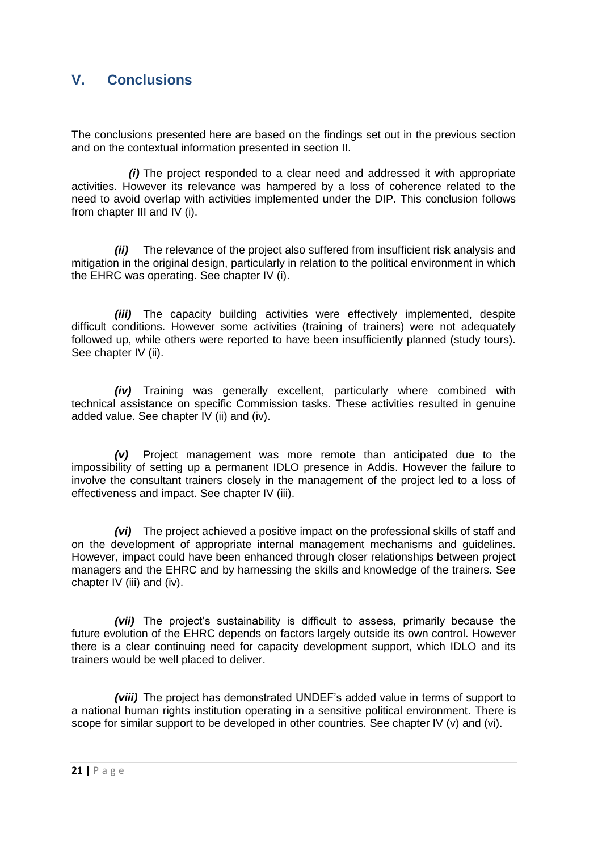## <span id="page-24-0"></span>**V. Conclusions**

The conclusions presented here are based on the findings set out in the previous section and on the contextual information presented in section II.

*(i)* The project responded to a clear need and addressed it with appropriate activities. However its relevance was hampered by a loss of coherence related to the need to avoid overlap with activities implemented under the DIP. This conclusion follows from chapter III and IV (i).

*(ii)* The relevance of the project also suffered from insufficient risk analysis and mitigation in the original design, particularly in relation to the political environment in which the EHRC was operating. See chapter IV (i).

*(iii)* The capacity building activities were effectively implemented, despite difficult conditions. However some activities (training of trainers) were not adequately followed up, while others were reported to have been insufficiently planned (study tours). See chapter IV (ii).

*(iv)* Training was generally excellent, particularly where combined with technical assistance on specific Commission tasks. These activities resulted in genuine added value. See chapter IV (ii) and (iv).

*(v)* Project management was more remote than anticipated due to the impossibility of setting up a permanent IDLO presence in Addis. However the failure to involve the consultant trainers closely in the management of the project led to a loss of effectiveness and impact. See chapter IV (iii).

*(vi)* The project achieved a positive impact on the professional skills of staff and on the development of appropriate internal management mechanisms and guidelines. However, impact could have been enhanced through closer relationships between project managers and the EHRC and by harnessing the skills and knowledge of the trainers. See chapter IV (iii) and (iv).

*(vii)* The project's sustainability is difficult to assess, primarily because the future evolution of the EHRC depends on factors largely outside its own control. However there is a clear continuing need for capacity development support, which IDLO and its trainers would be well placed to deliver.

*(viii)* The project has demonstrated UNDEF's added value in terms of support to a national human rights institution operating in a sensitive political environment. There is scope for similar support to be developed in other countries. See chapter IV (v) and (vi).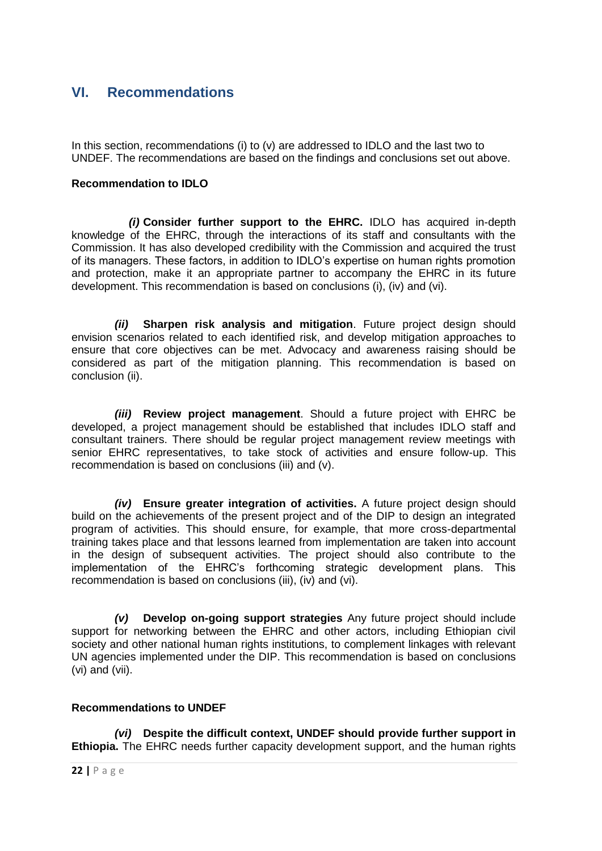## <span id="page-25-0"></span>**VI. Recommendations**

In this section, recommendations (i) to (v) are addressed to IDLO and the last two to UNDEF. The recommendations are based on the findings and conclusions set out above.

### **Recommendation to IDLO**

*(i)* **Consider further support to the EHRC.** IDLO has acquired in-depth knowledge of the EHRC, through the interactions of its staff and consultants with the Commission. It has also developed credibility with the Commission and acquired the trust of its managers. These factors, in addition to IDLO's expertise on human rights promotion and protection, make it an appropriate partner to accompany the EHRC in its future development. This recommendation is based on conclusions (i), (iv) and (vi).

*(ii)* **Sharpen risk analysis and mitigation**. Future project design should envision scenarios related to each identified risk, and develop mitigation approaches to ensure that core objectives can be met. Advocacy and awareness raising should be considered as part of the mitigation planning. This recommendation is based on conclusion (ii).

*(iii)* **Review project management**. Should a future project with EHRC be developed, a project management should be established that includes IDLO staff and consultant trainers. There should be regular project management review meetings with senior EHRC representatives, to take stock of activities and ensure follow-up. This recommendation is based on conclusions (iii) and (v).

*(iv)* **Ensure greater integration of activities.** A future project design should build on the achievements of the present project and of the DIP to design an integrated program of activities. This should ensure, for example, that more cross-departmental training takes place and that lessons learned from implementation are taken into account in the design of subsequent activities. The project should also contribute to the implementation of the EHRC's forthcoming strategic development plans. This recommendation is based on conclusions (iii), (iv) and (vi).

*(v)* **Develop on-going support strategies** Any future project should include support for networking between the EHRC and other actors, including Ethiopian civil society and other national human rights institutions, to complement linkages with relevant UN agencies implemented under the DIP. This recommendation is based on conclusions (vi) and (vii).

### **Recommendations to UNDEF**

*(vi)* **Despite the difficult context, UNDEF should provide further support in Ethiopia.** The EHRC needs further capacity development support, and the human rights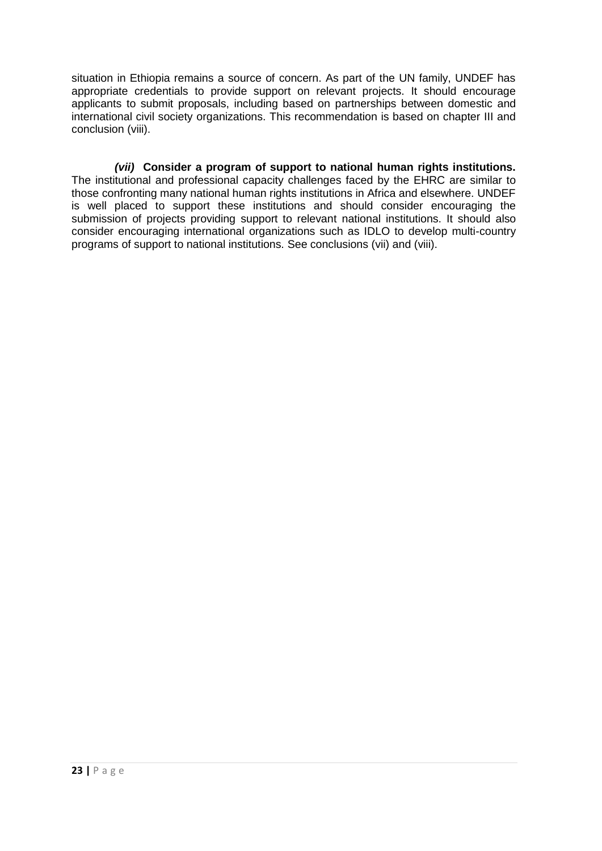situation in Ethiopia remains a source of concern. As part of the UN family, UNDEF has appropriate credentials to provide support on relevant projects. It should encourage applicants to submit proposals, including based on partnerships between domestic and international civil society organizations. This recommendation is based on chapter III and conclusion (viii).

*(vii)* **Consider a program of support to national human rights institutions.** The institutional and professional capacity challenges faced by the EHRC are similar to those confronting many national human rights institutions in Africa and elsewhere. UNDEF is well placed to support these institutions and should consider encouraging the submission of projects providing support to relevant national institutions. It should also consider encouraging international organizations such as IDLO to develop multi-country programs of support to national institutions. See conclusions (vii) and (viii).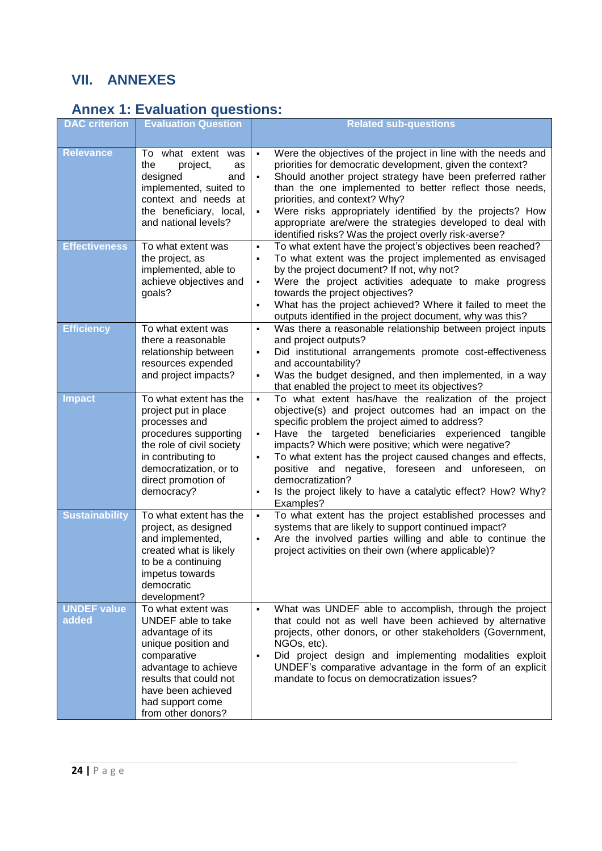# <span id="page-27-0"></span>**VII. ANNEXES**

# <span id="page-27-1"></span>**Annex 1: Evaluation questions:**

| <b>DAC</b> criterion        | <b>Evaluation Question</b>                                                                                                                                                                                           | <b>Related sub-questions</b>                                                                                                                                                                                                                                                                                                                                                                                                                                                                                                                                    |
|-----------------------------|----------------------------------------------------------------------------------------------------------------------------------------------------------------------------------------------------------------------|-----------------------------------------------------------------------------------------------------------------------------------------------------------------------------------------------------------------------------------------------------------------------------------------------------------------------------------------------------------------------------------------------------------------------------------------------------------------------------------------------------------------------------------------------------------------|
| <b>Relevance</b>            | To what extent was<br>the<br>project,<br>as<br>designed<br>and<br>implemented, suited to<br>context and needs at<br>the beneficiary, local,<br>and national levels?                                                  | Were the objectives of the project in line with the needs and<br>$\blacksquare$<br>priorities for democratic development, given the context?<br>Should another project strategy have been preferred rather<br>than the one implemented to better reflect those needs,<br>priorities, and context? Why?<br>Were risks appropriately identified by the projects? How<br>$\blacksquare$<br>appropriate are/were the strategies developed to deal with<br>identified risks? Was the project overly risk-averse?                                                     |
| <b>Effectiveness</b>        | To what extent was<br>the project, as<br>implemented, able to<br>achieve objectives and<br>goals?                                                                                                                    | To what extent have the project's objectives been reached?<br>$\blacksquare$<br>To what extent was the project implemented as envisaged<br>$\blacksquare$<br>by the project document? If not, why not?<br>Were the project activities adequate to make progress<br>$\blacksquare$<br>towards the project objectives?<br>What has the project achieved? Where it failed to meet the<br>$\blacksquare$<br>outputs identified in the project document, why was this?                                                                                               |
| <b>Efficiency</b>           | To what extent was<br>there a reasonable<br>relationship between<br>resources expended<br>and project impacts?                                                                                                       | Was there a reasonable relationship between project inputs<br>٠<br>and project outputs?<br>Did institutional arrangements promote cost-effectiveness<br>٠<br>and accountability?<br>Was the budget designed, and then implemented, in a way<br>$\blacksquare$<br>that enabled the project to meet its objectives?                                                                                                                                                                                                                                               |
| <b>Impact</b>               | To what extent has the<br>project put in place<br>processes and<br>procedures supporting<br>the role of civil society<br>in contributing to<br>democratization, or to<br>direct promotion of<br>democracy?           | To what extent has/have the realization of the project<br>$\blacksquare$<br>objective(s) and project outcomes had an impact on the<br>specific problem the project aimed to address?<br>Have the targeted beneficiaries experienced tangible<br>$\blacksquare$<br>impacts? Which were positive; which were negative?<br>To what extent has the project caused changes and effects,<br>$\blacksquare$<br>positive and negative, foreseen and unforeseen, on<br>democratization?<br>Is the project likely to have a catalytic effect? How? Why?<br>٠<br>Examples? |
| <b>Sustainability</b>       | To what extent has the<br>project, as designed<br>and implemented,<br>created what is likely<br>to be a continuing<br>impetus towards<br>democratic<br>development?                                                  | To what extent has the project established processes and<br>$\blacksquare$<br>systems that are likely to support continued impact?<br>Are the involved parties willing and able to continue the<br>$\blacksquare$<br>project activities on their own (where applicable)?                                                                                                                                                                                                                                                                                        |
| <b>UNDEF value</b><br>added | To what extent was<br>UNDEF able to take<br>advantage of its<br>unique position and<br>comparative<br>advantage to achieve<br>results that could not<br>have been achieved<br>had support come<br>from other donors? | What was UNDEF able to accomplish, through the project<br>$\blacksquare$<br>that could not as well have been achieved by alternative<br>projects, other donors, or other stakeholders (Government,<br>NGOs, etc).<br>Did project design and implementing modalities exploit<br>٠<br>UNDEF's comparative advantage in the form of an explicit<br>mandate to focus on democratization issues?                                                                                                                                                                     |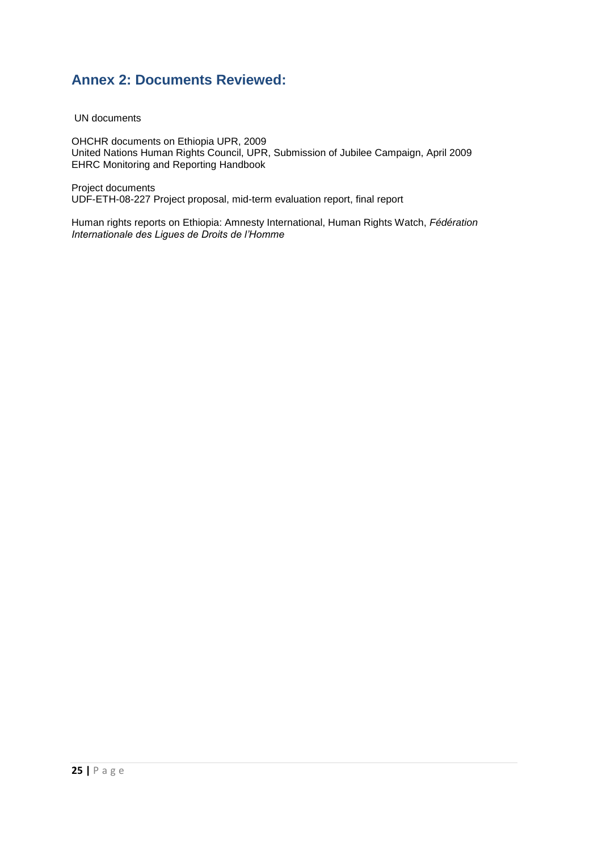## <span id="page-28-0"></span>**Annex 2: Documents Reviewed:**

UN documents

OHCHR documents on Ethiopia UPR, 2009 United Nations Human Rights Council, UPR, Submission of Jubilee Campaign, April 2009 EHRC Monitoring and Reporting Handbook

Project documents UDF-ETH-08-227 Project proposal, mid-term evaluation report, final report

Human rights reports on Ethiopia: Amnesty International, Human Rights Watch, *Fédération Internationale des Ligues de Droits de l'Homme*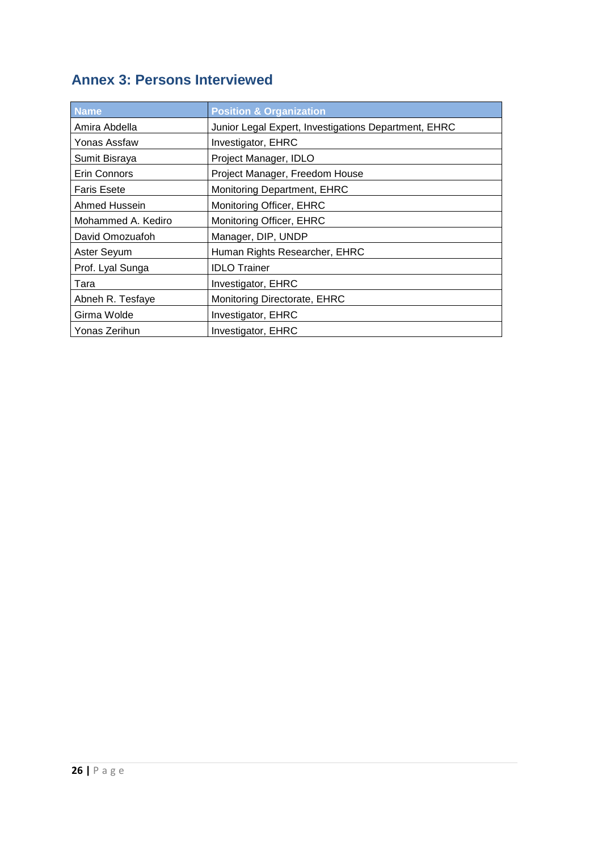# <span id="page-29-0"></span>**Annex 3: Persons Interviewed**

| <b>Name</b>        | <b>Position &amp; Organization</b>                   |
|--------------------|------------------------------------------------------|
| Amira Abdella      | Junior Legal Expert, Investigations Department, EHRC |
| Yonas Assfaw       | Investigator, EHRC                                   |
| Sumit Bisraya      | Project Manager, IDLO                                |
| Erin Connors       | Project Manager, Freedom House                       |
| <b>Faris Esete</b> | <b>Monitoring Department, EHRC</b>                   |
| Ahmed Hussein      | Monitoring Officer, EHRC                             |
| Mohammed A. Kediro | Monitoring Officer, EHRC                             |
| David Omozuafoh    | Manager, DIP, UNDP                                   |
| Aster Seyum        | Human Rights Researcher, EHRC                        |
| Prof. Lyal Sunga   | <b>IDLO</b> Trainer                                  |
| Tara               | Investigator, EHRC                                   |
| Abneh R. Tesfaye   | Monitoring Directorate, EHRC                         |
| Girma Wolde        | Investigator, EHRC                                   |
| Yonas Zerihun      | <b>Investigator, EHRC</b>                            |